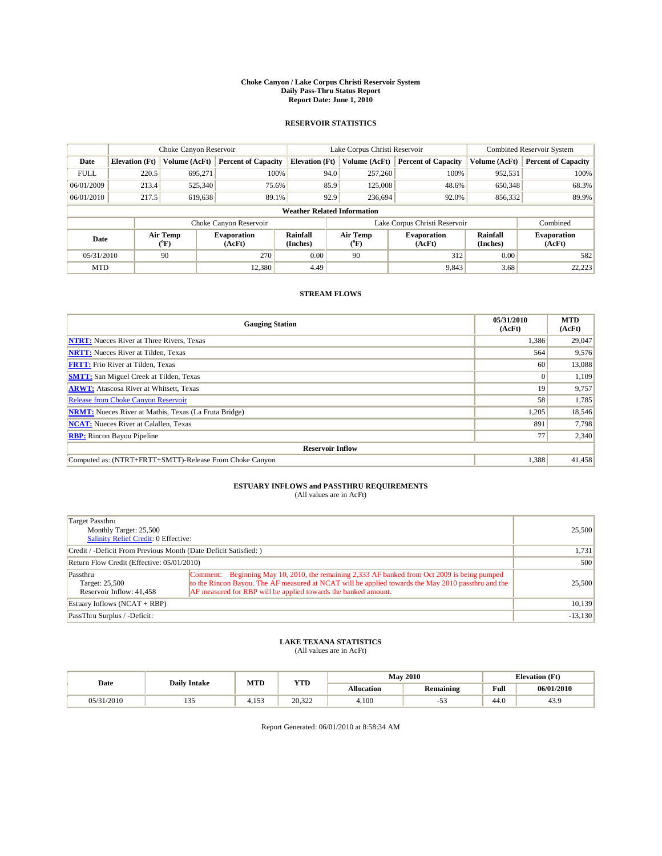#### **Choke Canyon / Lake Corpus Christi Reservoir System Daily Pass-Thru Status Report Report Date: June 1, 2010**

#### **RESERVOIR STATISTICS**

|             | Choke Canyon Reservoir             |                       | Lake Corpus Christi Reservoir |                       |      |                  | Combined Reservoir System     |                      |                              |  |
|-------------|------------------------------------|-----------------------|-------------------------------|-----------------------|------|------------------|-------------------------------|----------------------|------------------------------|--|
| Date        | <b>Elevation</b> (Ft)              | Volume (AcFt)         | <b>Percent of Capacity</b>    | <b>Elevation (Ft)</b> |      | Volume (AcFt)    | <b>Percent of Capacity</b>    | Volume (AcFt)        | <b>Percent of Capacity</b>   |  |
| <b>FULL</b> | 220.5                              | 695,271               | 100%                          |                       | 94.0 | 257,260          | 100%                          | 952,531              | 100%                         |  |
| 06/01/2009  | 213.4                              | 525,340               | 75.6%                         |                       | 85.9 | 125,008          | 48.6%                         | 650,348              | 68.3%                        |  |
| 06/01/2010  | 217.5                              | 619,638               | 89.1%                         |                       | 92.9 | 236,694          | 92.0%                         | 856,332              | 89.9%                        |  |
|             | <b>Weather Related Information</b> |                       |                               |                       |      |                  |                               |                      |                              |  |
|             |                                    |                       | Choke Canyon Reservoir        |                       |      |                  | Lake Corpus Christi Reservoir |                      | Combined                     |  |
| Date        |                                    | Air Temp<br>$(^{0}F)$ | <b>Evaporation</b><br>(AcFt)  | Rainfall<br>(Inches)  |      | Air Temp<br>("F) | <b>Evaporation</b><br>(AcFt)  | Rainfall<br>(Inches) | <b>Evaporation</b><br>(AcFt) |  |
| 05/31/2010  |                                    | 90                    | 270                           | 0.00                  |      | 90               | 312                           | 0.00                 | 582                          |  |
| <b>MTD</b>  |                                    |                       | 12,380                        | 4.49                  |      |                  | 9,843                         | 3.68                 | 22,223                       |  |

### **STREAM FLOWS**

| <b>Gauging Station</b>                                       | 05/31/2010<br>(AcFt) | <b>MTD</b><br>(AcFt) |
|--------------------------------------------------------------|----------------------|----------------------|
| <b>NTRT:</b> Nueces River at Three Rivers, Texas             | 1,386                | 29,047               |
| <b>NRTT:</b> Nueces River at Tilden, Texas                   | 564                  | 9,576                |
| <b>FRTT:</b> Frio River at Tilden, Texas                     | 60                   | 13,088               |
| <b>SMTT:</b> San Miguel Creek at Tilden, Texas               | $\Omega$             | 1,109                |
| <b>ARWT:</b> Atascosa River at Whitsett, Texas               | 19                   | 9,757                |
| <b>Release from Choke Canyon Reservoir</b>                   | 58                   | 1,785                |
| <b>NRMT:</b> Nueces River at Mathis, Texas (La Fruta Bridge) | 1,205                | 18,546               |
| <b>NCAT:</b> Nueces River at Calallen, Texas                 | 891                  | 7,798                |
| <b>RBP:</b> Rincon Bayou Pipeline                            | 77                   | 2,340                |
| <b>Reservoir Inflow</b>                                      |                      |                      |
| Computed as: (NTRT+FRTT+SMTT)-Release From Choke Canyon      | 1,388                | 41,458               |

# **ESTUARY INFLOWS and PASSTHRU REQUIREMENTS**<br>(All values are in AcFt)

| Target Passthru<br>Monthly Target: 25,500<br>Salinity Relief Credit: 0 Effective: |                                                                                                                                                                                                                                                                      | 25,500    |
|-----------------------------------------------------------------------------------|----------------------------------------------------------------------------------------------------------------------------------------------------------------------------------------------------------------------------------------------------------------------|-----------|
| Credit / -Deficit From Previous Month (Date Deficit Satisfied: )                  | 1,731                                                                                                                                                                                                                                                                |           |
| Return Flow Credit (Effective: 05/01/2010)                                        | 500                                                                                                                                                                                                                                                                  |           |
| Passthru<br>Target: 25,500<br>Reservoir Inflow: 41,458                            | Comment: Beginning May 10, 2010, the remaining 2,333 AF banked from Oct 2009 is being pumped<br>to the Rincon Bayou. The AF measured at NCAT will be applied towards the May 2010 passthru and the<br>AF measured for RBP will be applied towards the banked amount. | 25,500    |
| Estuary Inflows $(NCAT + RBP)$                                                    |                                                                                                                                                                                                                                                                      | 10,139    |
| PassThru Surplus / -Deficit:                                                      |                                                                                                                                                                                                                                                                      | $-13,130$ |

## **LAKE TEXANA STATISTICS** (All values are in AcFt)

|            | <b>Daily Intake</b> | MTD   | <b>YTD</b> |                   | <b>May 2010</b>        |                                         | <b>Elevation</b> (Ft) |  |
|------------|---------------------|-------|------------|-------------------|------------------------|-----------------------------------------|-----------------------|--|
| Date       |                     |       |            | <b>Allocation</b> | <b>Remaining</b>       | Full<br>the contract of the contract of | 06/01/2010            |  |
| 05/31/2010 | $-$<br><b>100</b>   | 4.153 | 20.322     | 4.100             | $\sim$ $\sim$<br>- 2 - | 44.0                                    | 43.9                  |  |

Report Generated: 06/01/2010 at 8:58:34 AM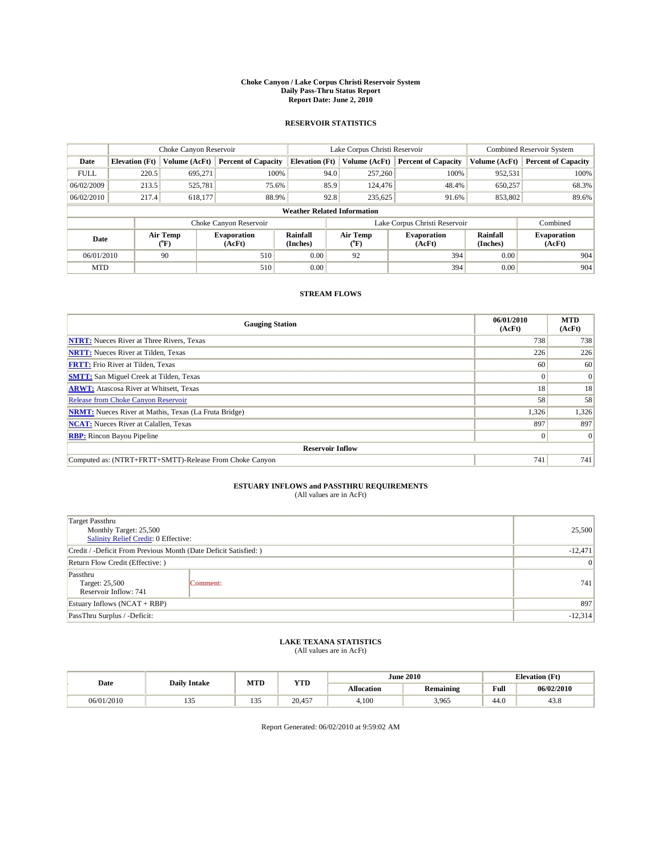#### **Choke Canyon / Lake Corpus Christi Reservoir System Daily Pass-Thru Status Report Report Date: June 2, 2010**

#### **RESERVOIR STATISTICS**

|             |                                    | Choke Canyon Reservoir |                              |                       | Lake Corpus Christi Reservoir | Combined Reservoir System     |                      |                              |  |  |
|-------------|------------------------------------|------------------------|------------------------------|-----------------------|-------------------------------|-------------------------------|----------------------|------------------------------|--|--|
| Date        | <b>Elevation</b> (Ft)              | Volume (AcFt)          | <b>Percent of Capacity</b>   | <b>Elevation (Ft)</b> | Volume (AcFt)                 | <b>Percent of Capacity</b>    | Volume (AcFt)        | Percent of Capacity          |  |  |
| <b>FULL</b> | 220.5                              | 695.271                | 100%                         | 94.0                  | 257,260                       | 100%                          | 952,531              | 100%                         |  |  |
| 06/02/2009  | 213.5                              | 525,781                | 75.6%                        | 85.9                  | 124,476                       | 48.4%                         | 650,257              | 68.3%                        |  |  |
| 06/02/2010  | 217.4                              | 618,177                | 88.9%                        | 92.8                  | 235,625                       | 91.6%                         | 853,802              | 89.6%                        |  |  |
|             | <b>Weather Related Information</b> |                        |                              |                       |                               |                               |                      |                              |  |  |
|             |                                    |                        | Choke Canyon Reservoir       |                       |                               | Lake Corpus Christi Reservoir |                      | Combined                     |  |  |
| Date        |                                    | Air Temp<br>(°F)       | <b>Evaporation</b><br>(AcFt) | Rainfall<br>(Inches)  | Air Temp<br>(°F)              | <b>Evaporation</b><br>(AcFt)  | Rainfall<br>(Inches) | <b>Evaporation</b><br>(AcFt) |  |  |
| 06/01/2010  |                                    | 90                     | 510                          | 0.00                  | 92                            | 394                           | 0.00                 | 904                          |  |  |
| <b>MTD</b>  |                                    |                        | 510                          | 0.00                  |                               | 394                           | 0.00                 | 904                          |  |  |

## **STREAM FLOWS**

| <b>Gauging Station</b>                                       | 06/01/2010<br>(AcFt) | <b>MTD</b><br>(AcFt) |
|--------------------------------------------------------------|----------------------|----------------------|
| <b>NTRT:</b> Nueces River at Three Rivers, Texas             | 738                  | 738                  |
| <b>NRTT:</b> Nueces River at Tilden, Texas                   | 226                  | 226                  |
| <b>FRTT:</b> Frio River at Tilden, Texas                     | 60                   | 60                   |
| <b>SMTT:</b> San Miguel Creek at Tilden, Texas               |                      | $\vert 0 \vert$      |
| <b>ARWT:</b> Atascosa River at Whitsett, Texas               | 18                   | 18                   |
| <b>Release from Choke Canyon Reservoir</b>                   | 58                   | 58                   |
| <b>NRMT:</b> Nueces River at Mathis, Texas (La Fruta Bridge) | 1,326                | 1,326                |
| <b>NCAT:</b> Nueces River at Calallen, Texas                 | 897                  | 897                  |
| <b>RBP:</b> Rincon Bayou Pipeline                            | $\Omega$             | $\Omega$             |
| <b>Reservoir Inflow</b>                                      |                      |                      |
| Computed as: (NTRT+FRTT+SMTT)-Release From Choke Canyon      | 741                  | 741                  |

# **ESTUARY INFLOWS and PASSTHRU REQUIREMENTS**<br>(All values are in AcFt)

| <b>Target Passthru</b><br>Monthly Target: 25,500<br>Salinity Relief Credit: 0 Effective: |          | 25,500    |
|------------------------------------------------------------------------------------------|----------|-----------|
| Credit / -Deficit From Previous Month (Date Deficit Satisfied: )                         |          | $-12,471$ |
| Return Flow Credit (Effective: )                                                         | 0        |           |
| Passthru<br>Target: 25,500<br>Reservoir Inflow: 741                                      | Comment: | 741       |
| Estuary Inflows $(NCAT + RBP)$                                                           |          | 897       |
| PassThru Surplus / -Deficit:                                                             |          | $-12,314$ |

## **LAKE TEXANA STATISTICS** (All values are in AcFt)

|            | <b>Daily Intake</b> | MTD                     | <b>YTD</b> |                   | <b>June 2010</b> |                                         | <b>Elevation</b> (Ft) |
|------------|---------------------|-------------------------|------------|-------------------|------------------|-----------------------------------------|-----------------------|
| Date       |                     |                         |            | <b>Allocation</b> | <b>Remaining</b> | Full<br>the contract of the contract of | 06/02/2010            |
| 06/01/2010 | 10<<br>$1 - 1 - 1$  | 1.2 <sub>r</sub><br>135 | 20.457     | 4.100             | 3,965            | 44.0                                    | 43.8                  |

Report Generated: 06/02/2010 at 9:59:02 AM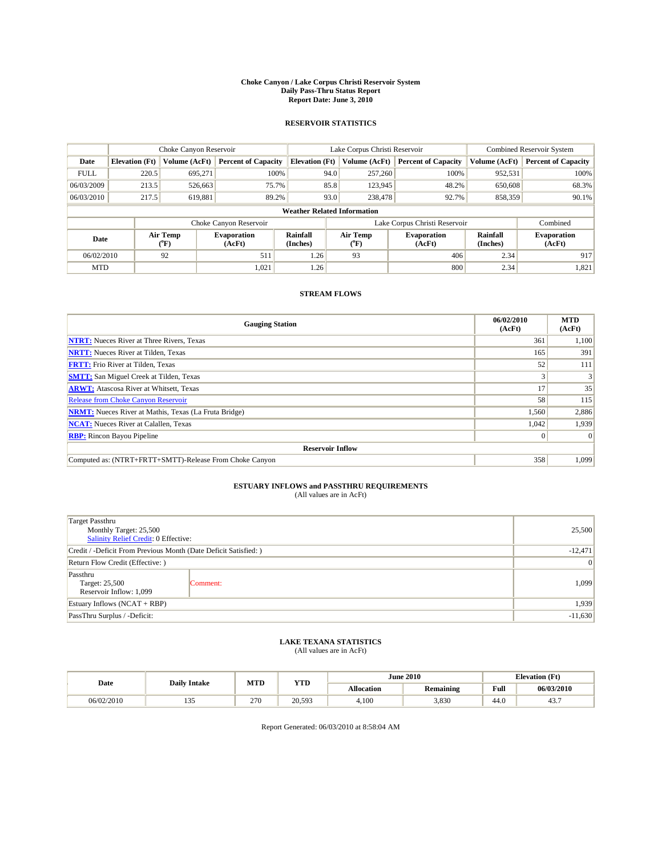#### **Choke Canyon / Lake Corpus Christi Reservoir System Daily Pass-Thru Status Report Report Date: June 3, 2010**

#### **RESERVOIR STATISTICS**

|             | Choke Canyon Reservoir             |                  |                              |                       | Lake Corpus Christi Reservoir | <b>Combined Reservoir System</b> |                      |                              |  |  |
|-------------|------------------------------------|------------------|------------------------------|-----------------------|-------------------------------|----------------------------------|----------------------|------------------------------|--|--|
| Date        | <b>Elevation</b> (Ft)              | Volume (AcFt)    | <b>Percent of Capacity</b>   | <b>Elevation (Ft)</b> | Volume (AcFt)                 | <b>Percent of Capacity</b>       | Volume (AcFt)        | <b>Percent of Capacity</b>   |  |  |
| <b>FULL</b> | 220.5                              | 695.271          | 100%                         | 94.0                  | 257,260                       | 100%                             | 952,531              | 100%                         |  |  |
| 06/03/2009  | 213.5                              | 526,663          | 75.7%                        | 85.8                  | 123,945                       | 48.2%                            | 650,608              | 68.3%                        |  |  |
| 06/03/2010  | 217.5                              | 619,881          | 89.2%                        | 93.0                  | 238,478                       | 92.7%                            | 858,359              | $90.1\%$                     |  |  |
|             | <b>Weather Related Information</b> |                  |                              |                       |                               |                                  |                      |                              |  |  |
|             |                                    |                  | Choke Canyon Reservoir       |                       |                               | Lake Corpus Christi Reservoir    |                      | Combined                     |  |  |
| Date        |                                    | Air Temp<br>(°F) | <b>Evaporation</b><br>(AcFt) | Rainfall<br>(Inches)  | Air Temp<br>("F)              | <b>Evaporation</b><br>(AcFt)     | Rainfall<br>(Inches) | <b>Evaporation</b><br>(AcFt) |  |  |
| 06/02/2010  |                                    | 92               | 511                          | 1.26                  | 93                            | 406                              | 2.34                 | 917                          |  |  |
| <b>MTD</b>  |                                    |                  | 1,021                        | 1.26                  |                               | 800                              | 2.34                 | 1,821                        |  |  |

## **STREAM FLOWS**

| <b>Gauging Station</b>                                       | 06/02/2010<br>(AcFt) | <b>MTD</b><br>(AcFt) |
|--------------------------------------------------------------|----------------------|----------------------|
| <b>NTRT:</b> Nueces River at Three Rivers, Texas             | 361                  | 1,100                |
| <b>NRTT:</b> Nueces River at Tilden, Texas                   | 165                  | 391                  |
| <b>FRTT:</b> Frio River at Tilden, Texas                     | 52                   | 111                  |
| <b>SMTT:</b> San Miguel Creek at Tilden, Texas               |                      |                      |
| <b>ARWT:</b> Atascosa River at Whitsett, Texas               | 17                   | 35                   |
| <b>Release from Choke Canyon Reservoir</b>                   | 58                   | 115                  |
| <b>NRMT:</b> Nueces River at Mathis, Texas (La Fruta Bridge) | 1,560                | 2,886                |
| <b>NCAT:</b> Nueces River at Calallen, Texas                 | 1,042                | 1,939                |
| <b>RBP:</b> Rincon Bayou Pipeline                            | $\Omega$             | $\Omega$             |
| <b>Reservoir Inflow</b>                                      |                      |                      |
| Computed as: (NTRT+FRTT+SMTT)-Release From Choke Canyon      | 358                  | 1,099                |

# **ESTUARY INFLOWS and PASSTHRU REQUIREMENTS**<br>(All values are in AcFt)

| <b>Target Passthru</b><br>Monthly Target: 25,500<br>Salinity Relief Credit: 0 Effective: |                 | 25,500    |
|------------------------------------------------------------------------------------------|-----------------|-----------|
| Credit / -Deficit From Previous Month (Date Deficit Satisfied: )                         |                 | $-12,471$ |
| Return Flow Credit (Effective: )                                                         | $\vert 0 \vert$ |           |
| Passthru<br>Target: 25,500<br>Reservoir Inflow: 1,099                                    | Comment:        | 1,099     |
| Estuary Inflows $(NCAT + RBP)$                                                           |                 | 1,939     |
| PassThru Surplus / -Deficit:                                                             | $-11,630$       |           |

## **LAKE TEXANA STATISTICS** (All values are in AcFt)

|            | <b>Daily Intake</b>         | MTD | YTD    |            | <b>June 2010</b> | <b>Elevation</b> (Ft)                   |            |
|------------|-----------------------------|-----|--------|------------|------------------|-----------------------------------------|------------|
| Date       |                             |     |        | Allocation | <b>Remaining</b> | Full<br>the contract of the contract of | 06/03/2010 |
| 06/02/2010 | $\sim$ $\sim$<br><b>100</b> | 270 | 20.593 | 4.100      | 3.830            | 44.0                                    | ட:<br>٠.   |

Report Generated: 06/03/2010 at 8:58:04 AM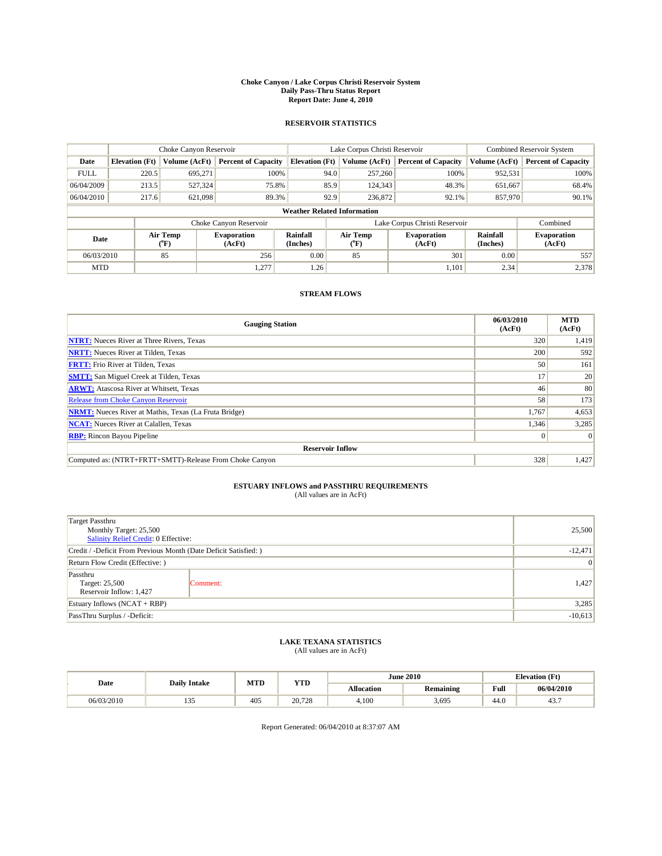#### **Choke Canyon / Lake Corpus Christi Reservoir System Daily Pass-Thru Status Report Report Date: June 4, 2010**

#### **RESERVOIR STATISTICS**

|             | Choke Canyon Reservoir             |                  |                              |                       | Lake Corpus Christi Reservoir | <b>Combined Reservoir System</b> |                      |                              |  |  |
|-------------|------------------------------------|------------------|------------------------------|-----------------------|-------------------------------|----------------------------------|----------------------|------------------------------|--|--|
| Date        | <b>Elevation</b> (Ft)              | Volume (AcFt)    | <b>Percent of Capacity</b>   | <b>Elevation (Ft)</b> | Volume (AcFt)                 | <b>Percent of Capacity</b>       | Volume (AcFt)        | <b>Percent of Capacity</b>   |  |  |
| <b>FULL</b> | 220.5                              | 695.271          | 100%                         | 94.0                  | 257,260                       | 100%                             | 952,531              | 100%                         |  |  |
| 06/04/2009  | 213.5                              | 527,324          | 75.8%                        | 85.9                  | 124,343                       | 48.3%                            | 651,667              | 68.4%                        |  |  |
| 06/04/2010  | 217.6                              | 621,098          | 89.3%                        | 92.9                  | 236,872                       | 92.1%                            | 857,970              | 90.1%                        |  |  |
|             | <b>Weather Related Information</b> |                  |                              |                       |                               |                                  |                      |                              |  |  |
|             |                                    |                  | Choke Canyon Reservoir       |                       |                               | Lake Corpus Christi Reservoir    |                      | Combined                     |  |  |
| Date        |                                    | Air Temp<br>(°F) | <b>Evaporation</b><br>(AcFt) | Rainfall<br>(Inches)  | Air Temp<br>(°F)              | <b>Evaporation</b><br>(AcFt)     | Rainfall<br>(Inches) | <b>Evaporation</b><br>(AcFt) |  |  |
| 06/03/2010  |                                    | 85               | 256                          | 0.00                  | 85                            | 301                              | 0.00                 | 557                          |  |  |
| <b>MTD</b>  |                                    |                  | 1,277                        | 1.26                  |                               | 1.101                            | 2.34                 | 2,378                        |  |  |

## **STREAM FLOWS**

| <b>Gauging Station</b>                                       | 06/03/2010<br>(AcFt) | <b>MTD</b><br>(AcFt) |
|--------------------------------------------------------------|----------------------|----------------------|
| <b>NTRT:</b> Nueces River at Three Rivers, Texas             | 320                  | 1,419                |
| <b>NRTT:</b> Nueces River at Tilden, Texas                   | 200                  | 592                  |
| <b>FRTT:</b> Frio River at Tilden, Texas                     | 50                   | 161                  |
| <b>SMTT:</b> San Miguel Creek at Tilden, Texas               | 17                   | 20                   |
| <b>ARWT:</b> Atascosa River at Whitsett, Texas               | 46                   | 80                   |
| <b>Release from Choke Canyon Reservoir</b>                   | 58                   | 173                  |
| <b>NRMT:</b> Nueces River at Mathis, Texas (La Fruta Bridge) | 1,767                | 4,653                |
| <b>NCAT:</b> Nueces River at Calallen, Texas                 | 1,346                | 3,285                |
| <b>RBP:</b> Rincon Bayou Pipeline                            | $\Omega$             | $\Omega$             |
| <b>Reservoir Inflow</b>                                      |                      |                      |
| Computed as: (NTRT+FRTT+SMTT)-Release From Choke Canyon      | 328                  | 1,427                |

# **ESTUARY INFLOWS and PASSTHRU REQUIREMENTS**<br>(All values are in AcFt)

| <b>Target Passthru</b><br>Monthly Target: 25,500<br>Salinity Relief Credit: 0 Effective: |           | 25,500 |
|------------------------------------------------------------------------------------------|-----------|--------|
| Credit / -Deficit From Previous Month (Date Deficit Satisfied: )                         | $-12,471$ |        |
| Return Flow Credit (Effective: )                                                         | 0         |        |
| Passthru<br>Target: 25,500<br>Reservoir Inflow: 1,427                                    | Comment:  | 1,427  |
| Estuary Inflows $(NCAT + RBP)$                                                           |           | 3,285  |
| PassThru Surplus / -Deficit:                                                             | $-10,613$ |        |

## **LAKE TEXANA STATISTICS** (All values are in AcFt)

|            | <b>Daily Intake</b> | MTD | <b>YTD</b> |                   | <b>June 2010</b> | <b>Elevation</b> (Ft)                   |            |
|------------|---------------------|-----|------------|-------------------|------------------|-----------------------------------------|------------|
| Date       |                     |     |            | <b>Allocation</b> | <b>Remaining</b> | Full<br>the contract of the contract of | 06/04/2010 |
| 06/03/2010 | $-$<br>$1 - 1 - 1$  | 405 | 20,728     | 4.100             | 3,695            | 44.0                                    | 45         |

Report Generated: 06/04/2010 at 8:37:07 AM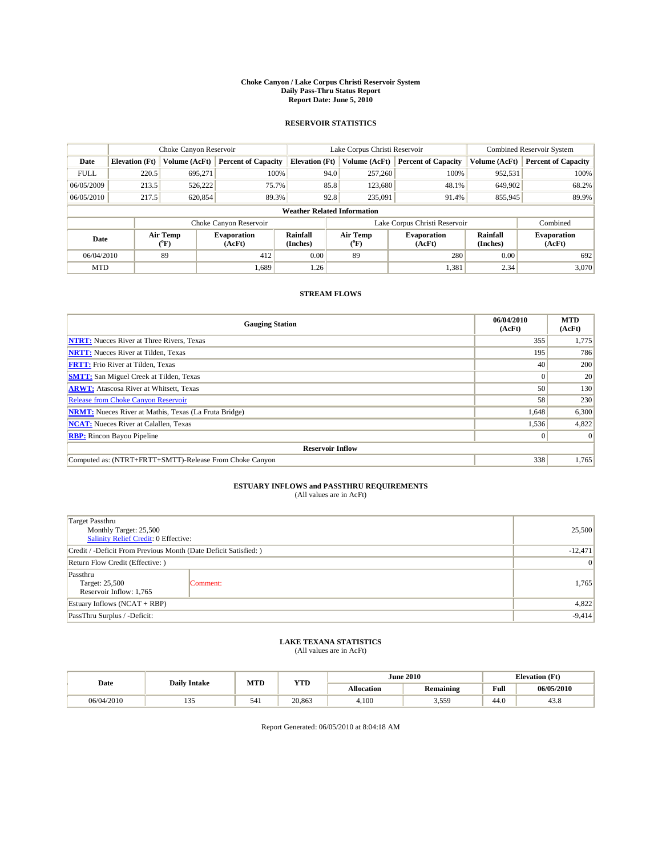#### **Choke Canyon / Lake Corpus Christi Reservoir System Daily Pass-Thru Status Report Report Date: June 5, 2010**

#### **RESERVOIR STATISTICS**

|             | Choke Canyon Reservoir             |                  |                              |                       | Lake Corpus Christi Reservoir | Combined Reservoir System     |                      |                              |  |  |
|-------------|------------------------------------|------------------|------------------------------|-----------------------|-------------------------------|-------------------------------|----------------------|------------------------------|--|--|
| Date        | <b>Elevation</b> (Ft)              | Volume (AcFt)    | <b>Percent of Capacity</b>   | <b>Elevation (Ft)</b> | Volume (AcFt)                 | <b>Percent of Capacity</b>    | Volume (AcFt)        | <b>Percent of Capacity</b>   |  |  |
| <b>FULL</b> | 220.5                              | 695,271          | 100%                         |                       | 94.0<br>257,260               | 100%                          | 952,531              | 100%                         |  |  |
| 06/05/2009  | 213.5                              | 526,222          | 75.7%                        |                       | 85.8<br>123,680               | 48.1%                         | 649,902              | 68.2%                        |  |  |
| 06/05/2010  | 217.5                              | 620,854          | 89.3%                        |                       | 92.8<br>235,091               | 91.4%                         | 855,945              | 89.9%                        |  |  |
|             | <b>Weather Related Information</b> |                  |                              |                       |                               |                               |                      |                              |  |  |
|             |                                    |                  | Choke Canyon Reservoir       |                       |                               | Lake Corpus Christi Reservoir |                      | Combined                     |  |  |
| Date        |                                    | Air Temp<br>(°F) | <b>Evaporation</b><br>(AcFt) | Rainfall<br>(Inches)  | Air Temp<br>(°F)              | <b>Evaporation</b><br>(AcFt)  | Rainfall<br>(Inches) | <b>Evaporation</b><br>(AcFt) |  |  |
| 06/04/2010  |                                    | 89               | 412                          | 0.00                  | 89                            | 280                           | 0.00                 | 692                          |  |  |
| <b>MTD</b>  |                                    |                  | 1.689                        | 1.26                  |                               | 1,381                         | 2.34                 | 3,070                        |  |  |

## **STREAM FLOWS**

| <b>Gauging Station</b>                                       | 06/04/2010<br>(AcFt) | <b>MTD</b><br>(AcFt) |
|--------------------------------------------------------------|----------------------|----------------------|
| <b>NTRT:</b> Nueces River at Three Rivers, Texas             | 355                  | 1,775                |
| <b>NRTT:</b> Nueces River at Tilden, Texas                   | 195                  | 786                  |
| <b>FRTT:</b> Frio River at Tilden, Texas                     | 40                   | 200                  |
| <b>SMTT:</b> San Miguel Creek at Tilden, Texas               |                      | 20                   |
| <b>ARWT:</b> Atascosa River at Whitsett, Texas               | 50                   | 130                  |
| <b>Release from Choke Canyon Reservoir</b>                   | 58                   | 230                  |
| <b>NRMT:</b> Nueces River at Mathis, Texas (La Fruta Bridge) | 1,648                | 6,300                |
| <b>NCAT:</b> Nueces River at Calallen, Texas                 | 1,536                | 4,822                |
| <b>RBP:</b> Rincon Bayou Pipeline                            | $\Omega$             | $\Omega$             |
| <b>Reservoir Inflow</b>                                      |                      |                      |
| Computed as: (NTRT+FRTT+SMTT)-Release From Choke Canyon      | 338                  | 1,765                |

# **ESTUARY INFLOWS and PASSTHRU REQUIREMENTS**<br>(All values are in AcFt)

| <b>Target Passthru</b><br>Monthly Target: 25,500<br>Salinity Relief Credit: 0 Effective: |           | 25,500 |
|------------------------------------------------------------------------------------------|-----------|--------|
| Credit / -Deficit From Previous Month (Date Deficit Satisfied: )                         | $-12,471$ |        |
| Return Flow Credit (Effective: )                                                         | 0         |        |
| Passthru<br>Target: 25,500<br>Reservoir Inflow: 1,765                                    | Comment:  | 1,765  |
| Estuary Inflows $(NCAT + RBP)$                                                           |           | 4,822  |
| PassThru Surplus / -Deficit:                                                             | $-9,414$  |        |

## **LAKE TEXANA STATISTICS** (All values are in AcFt)

|            | <b>Daily Intake</b> | MTD | <b>YTD</b> |                   | <b>June 2010</b> | <b>Elevation</b> (Ft)                   |            |
|------------|---------------------|-----|------------|-------------------|------------------|-----------------------------------------|------------|
| Date       |                     |     |            | <b>Allocation</b> | <b>Remaining</b> | Full<br>the contract of the contract of | 06/05/2010 |
| 06/04/2010 | $-$<br>$1 - 1 - 1$  | 541 | 20.863     | 4.100             | : 550<br>J.JJ    | 44.0                                    | 45.8       |

Report Generated: 06/05/2010 at 8:04:18 AM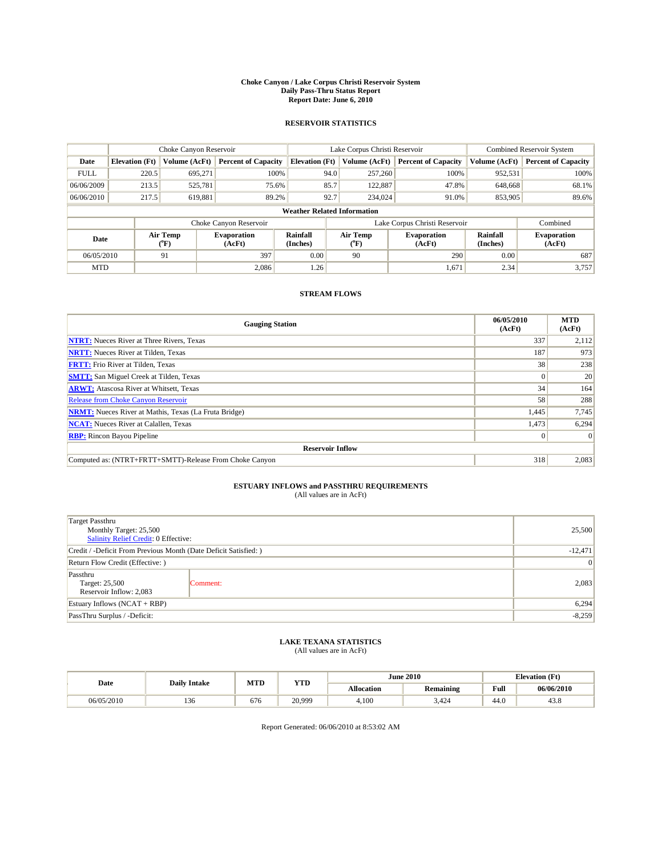#### **Choke Canyon / Lake Corpus Christi Reservoir System Daily Pass-Thru Status Report Report Date: June 6, 2010**

#### **RESERVOIR STATISTICS**

|             | Choke Canyon Reservoir             |                  |                              |                       | Lake Corpus Christi Reservoir | <b>Combined Reservoir System</b> |                      |                              |  |  |
|-------------|------------------------------------|------------------|------------------------------|-----------------------|-------------------------------|----------------------------------|----------------------|------------------------------|--|--|
| Date        | <b>Elevation</b> (Ft)              | Volume (AcFt)    | <b>Percent of Capacity</b>   | <b>Elevation (Ft)</b> | Volume (AcFt)                 | <b>Percent of Capacity</b>       | Volume (AcFt)        | <b>Percent of Capacity</b>   |  |  |
| <b>FULL</b> | 220.5                              | 695,271          | 100%                         | 94.0                  | 257,260                       | 100%                             | 952,531              | 100%                         |  |  |
| 06/06/2009  | 213.5                              | 525,781          | 75.6%                        | 85.7                  | 122,887                       | 47.8%                            | 648,668              | 68.1%                        |  |  |
| 06/06/2010  | 217.5                              | 619,881          | 89.2%                        | 92.7                  | 234,024                       | 91.0%                            | 853,905              | 89.6%                        |  |  |
|             | <b>Weather Related Information</b> |                  |                              |                       |                               |                                  |                      |                              |  |  |
|             |                                    |                  | Choke Canyon Reservoir       |                       |                               | Lake Corpus Christi Reservoir    |                      | Combined                     |  |  |
| Date        |                                    | Air Temp<br>(°F) | <b>Evaporation</b><br>(AcFt) | Rainfall<br>(Inches)  | Air Temp<br>(°F)              | <b>Evaporation</b><br>(AcFt)     | Rainfall<br>(Inches) | <b>Evaporation</b><br>(AcFt) |  |  |
| 06/05/2010  |                                    | 91               | 397                          | 0.00                  | 90                            | 290                              | 0.00                 | 687                          |  |  |
| <b>MTD</b>  |                                    |                  | 2.086                        | 1.26                  |                               | 1,671                            | 2.34                 | 3,757                        |  |  |

## **STREAM FLOWS**

| <b>Gauging Station</b>                                       | 06/05/2010<br>(AcFt) | <b>MTD</b><br>(AcFt) |
|--------------------------------------------------------------|----------------------|----------------------|
| <b>NTRT:</b> Nueces River at Three Rivers, Texas             | 337                  | 2,112                |
| <b>NRTT:</b> Nueces River at Tilden, Texas                   | 187                  | 973                  |
| <b>FRTT:</b> Frio River at Tilden, Texas                     | 38                   | 238                  |
| <b>SMTT:</b> San Miguel Creek at Tilden, Texas               |                      | 20                   |
| <b>ARWT:</b> Atascosa River at Whitsett, Texas               | 34                   | 164                  |
| <b>Release from Choke Canyon Reservoir</b>                   | 58                   | 288                  |
| <b>NRMT:</b> Nueces River at Mathis, Texas (La Fruta Bridge) | 1,445                | 7,745                |
| <b>NCAT:</b> Nueces River at Calallen, Texas                 | 1,473                | 6,294                |
| <b>RBP:</b> Rincon Bayou Pipeline                            | $\Omega$             | $\Omega$             |
| <b>Reservoir Inflow</b>                                      |                      |                      |
| Computed as: (NTRT+FRTT+SMTT)-Release From Choke Canyon      | 318                  | 2,083                |

# **ESTUARY INFLOWS and PASSTHRU REQUIREMENTS**<br>(All values are in AcFt)

| <b>Target Passthru</b><br>Monthly Target: 25,500<br>Salinity Relief Credit: 0 Effective: |                 | 25,500 |
|------------------------------------------------------------------------------------------|-----------------|--------|
| Credit / -Deficit From Previous Month (Date Deficit Satisfied: )                         | $-12,471$       |        |
| Return Flow Credit (Effective: )                                                         | $\vert 0 \vert$ |        |
| Passthru<br>Target: 25,500<br>Reservoir Inflow: 2,083                                    | Comment:        | 2,083  |
| Estuary Inflows $(NCAT + RBP)$                                                           |                 | 6,294  |
| PassThru Surplus / -Deficit:                                                             | $-8,259$        |        |

## **LAKE TEXANA STATISTICS** (All values are in AcFt)

|            | <b>Daily Intake</b> | MTD | <b>YTD</b> |                   | <b>June 2010</b> | <b>Elevation</b> (Ft)                   |            |
|------------|---------------------|-----|------------|-------------------|------------------|-----------------------------------------|------------|
| Date       |                     |     |            | <b>Allocation</b> | <b>Remaining</b> | Full<br>the contract of the contract of | 06/06/2010 |
| 06/05/2010 | 10<<br>136          | 676 | 20,999     | 4.100             | 3.424            | 44.0                                    | 45.8       |

Report Generated: 06/06/2010 at 8:53:02 AM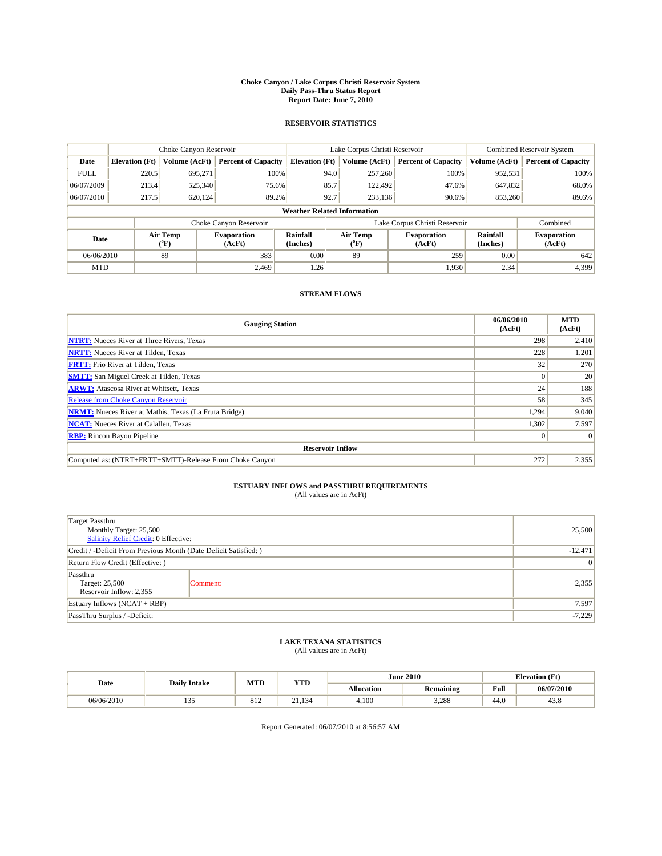#### **Choke Canyon / Lake Corpus Christi Reservoir System Daily Pass-Thru Status Report Report Date: June 7, 2010**

#### **RESERVOIR STATISTICS**

|             | Choke Canyon Reservoir             |                  |                              |                       | Lake Corpus Christi Reservoir | Combined Reservoir System     |                      |                              |  |  |
|-------------|------------------------------------|------------------|------------------------------|-----------------------|-------------------------------|-------------------------------|----------------------|------------------------------|--|--|
| Date        | <b>Elevation</b> (Ft)              | Volume (AcFt)    | <b>Percent of Capacity</b>   | <b>Elevation (Ft)</b> | Volume (AcFt)                 | <b>Percent of Capacity</b>    | Volume (AcFt)        | <b>Percent of Capacity</b>   |  |  |
| <b>FULL</b> | 220.5                              | 695,271          | 100%                         | 94.0                  | 257,260                       | 100%                          | 952,531              | 100%                         |  |  |
| 06/07/2009  | 213.4                              | 525,340          | 75.6%                        | 85.7                  | 122,492                       | 47.6%                         | 647,832              | 68.0%                        |  |  |
| 06/07/2010  | 217.5                              | 620,124          | 89.2%                        | 92.7                  | 233,136                       | 90.6%                         | 853,260              | 89.6%                        |  |  |
|             | <b>Weather Related Information</b> |                  |                              |                       |                               |                               |                      |                              |  |  |
|             |                                    |                  | Choke Canyon Reservoir       |                       |                               | Lake Corpus Christi Reservoir |                      | Combined                     |  |  |
| Date        |                                    | Air Temp<br>(°F) | <b>Evaporation</b><br>(AcFt) | Rainfall<br>(Inches)  | Air Temp<br>(°F)              | <b>Evaporation</b><br>(AcFt)  | Rainfall<br>(Inches) | <b>Evaporation</b><br>(AcFt) |  |  |
| 06/06/2010  |                                    | 89               | 383                          | 0.00                  | 89                            | 259                           | 0.00                 | 642                          |  |  |
| <b>MTD</b>  |                                    |                  | 2.469                        | 1.26                  |                               | 1,930                         | 2.34                 | 4,399                        |  |  |

## **STREAM FLOWS**

| <b>Gauging Station</b>                                       | 06/06/2010<br>(AcFt) | <b>MTD</b><br>(AcFt) |
|--------------------------------------------------------------|----------------------|----------------------|
| <b>NTRT:</b> Nueces River at Three Rivers, Texas             | 298                  | 2,410                |
| <b>NRTT:</b> Nueces River at Tilden, Texas                   | 228                  | 1,201                |
| <b>FRTT:</b> Frio River at Tilden, Texas                     | 32                   | 270                  |
| <b>SMTT:</b> San Miguel Creek at Tilden, Texas               |                      | 20                   |
| <b>ARWT:</b> Atascosa River at Whitsett, Texas               | 24                   | 188                  |
| <b>Release from Choke Canyon Reservoir</b>                   | 58                   | 345                  |
| <b>NRMT:</b> Nueces River at Mathis, Texas (La Fruta Bridge) | 1,294                | 9,040                |
| <b>NCAT:</b> Nueces River at Calallen, Texas                 | 1,302                | 7,597                |
| <b>RBP:</b> Rincon Bayou Pipeline                            | $\Omega$             | $\Omega$             |
| <b>Reservoir Inflow</b>                                      |                      |                      |
| Computed as: (NTRT+FRTT+SMTT)-Release From Choke Canyon      | 272                  | 2,355                |

# **ESTUARY INFLOWS and PASSTHRU REQUIREMENTS**<br>(All values are in AcFt)

| <b>Target Passthru</b><br>Monthly Target: 25,500<br>Salinity Relief Credit: 0 Effective: |                 | 25,500 |
|------------------------------------------------------------------------------------------|-----------------|--------|
| Credit / -Deficit From Previous Month (Date Deficit Satisfied: )                         | $-12,471$       |        |
| Return Flow Credit (Effective: )                                                         | $\vert 0 \vert$ |        |
| Passthru<br>Target: 25,500<br>Reservoir Inflow: 2,355                                    | Comment:        | 2,355  |
| Estuary Inflows (NCAT + RBP)                                                             |                 | 7,597  |
| PassThru Surplus / -Deficit:                                                             | $-7,229$        |        |

## **LAKE TEXANA STATISTICS** (All values are in AcFt)

|            | <b>Daily Intake</b> | MTD | <b>YTD</b> |                   | <b>June 2010</b> | <b>Elevation</b> (Ft)                   |            |
|------------|---------------------|-----|------------|-------------------|------------------|-----------------------------------------|------------|
| Date       |                     |     |            | <b>Allocation</b> | <b>Remaining</b> | Full<br>the contract of the contract of | 06/07/2010 |
| 06/06/2010 | $-$<br>$1 - 1 - 1$  | 812 | 21,134     | 4.100             | 3,288            | 44.0                                    | 45.8       |

Report Generated: 06/07/2010 at 8:56:57 AM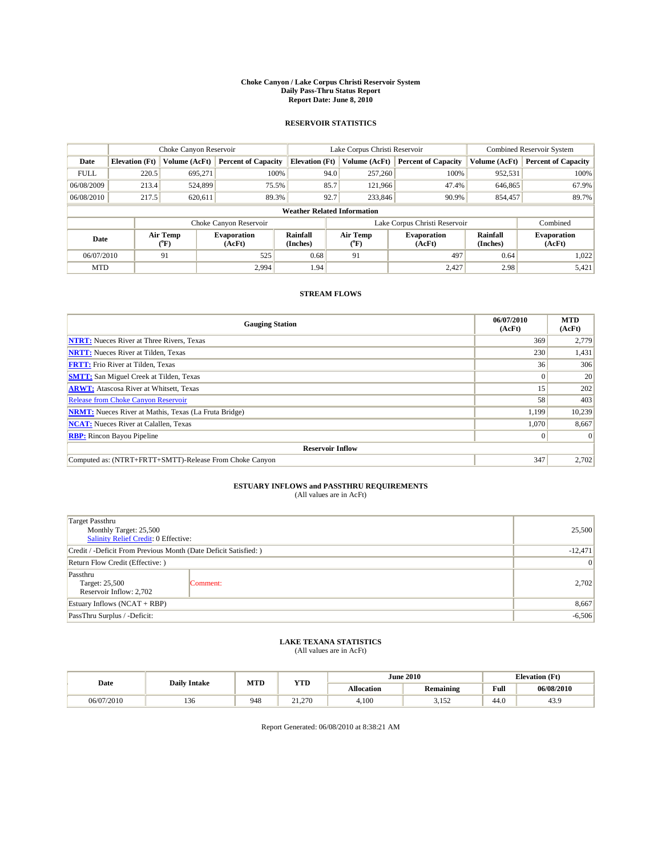#### **Choke Canyon / Lake Corpus Christi Reservoir System Daily Pass-Thru Status Report Report Date: June 8, 2010**

#### **RESERVOIR STATISTICS**

|             | Choke Canyon Reservoir             |                  |                              |                       | Lake Corpus Christi Reservoir |                               |                      | <b>Combined Reservoir System</b> |  |  |
|-------------|------------------------------------|------------------|------------------------------|-----------------------|-------------------------------|-------------------------------|----------------------|----------------------------------|--|--|
| Date        | <b>Elevation</b> (Ft)              | Volume (AcFt)    | <b>Percent of Capacity</b>   | <b>Elevation</b> (Ft) | Volume (AcFt)                 | <b>Percent of Capacity</b>    | Volume (AcFt)        | <b>Percent of Capacity</b>       |  |  |
| <b>FULL</b> | 220.5                              | 695.271          | 100%                         | 94.0                  | 257,260                       | 100%                          | 952,531              | 100%                             |  |  |
| 06/08/2009  | 213.4                              | 524,899          | 75.5%                        | 85.7                  | 121,966                       | 47.4%                         | 646,865              | 67.9%                            |  |  |
| 06/08/2010  | 217.5                              | 620,611          | 89.3%                        | 92.7                  | 233,846                       | 90.9%                         | 854,457              | 89.7%                            |  |  |
|             | <b>Weather Related Information</b> |                  |                              |                       |                               |                               |                      |                                  |  |  |
|             |                                    |                  | Choke Canyon Reservoir       |                       |                               | Lake Corpus Christi Reservoir |                      | Combined                         |  |  |
| Date        |                                    | Air Temp<br>(°F) | <b>Evaporation</b><br>(AcFt) | Rainfall<br>(Inches)  | Air Temp<br>$(^{0}F)$         | <b>Evaporation</b><br>(AcFt)  | Rainfall<br>(Inches) | <b>Evaporation</b><br>(AcFt)     |  |  |
| 06/07/2010  |                                    | 91               | 525                          | 0.68                  | 91                            | 497                           | 0.64                 | 1,022                            |  |  |
| <b>MTD</b>  |                                    |                  | 2.994                        | 1.94                  |                               | 2,427                         | 2.98                 | 5,421                            |  |  |

## **STREAM FLOWS**

| <b>Gauging Station</b>                                       | 06/07/2010<br>(AcFt) | <b>MTD</b><br>(AcFt) |
|--------------------------------------------------------------|----------------------|----------------------|
| <b>NTRT:</b> Nueces River at Three Rivers, Texas             | 369                  | 2,779                |
| <b>NRTT:</b> Nueces River at Tilden, Texas                   | 230                  | 1,431                |
| <b>FRTT:</b> Frio River at Tilden, Texas                     | 36 <sup>1</sup>      | 306                  |
| <b>SMTT:</b> San Miguel Creek at Tilden, Texas               |                      | 20                   |
| <b>ARWT:</b> Atascosa River at Whitsett, Texas               | 15                   | 202                  |
| <b>Release from Choke Canyon Reservoir</b>                   | 58                   | 403                  |
| <b>NRMT:</b> Nueces River at Mathis, Texas (La Fruta Bridge) | 1,199                | 10,239               |
| <b>NCAT:</b> Nueces River at Calallen, Texas                 | 1.070                | 8,667                |
| <b>RBP:</b> Rincon Bayou Pipeline                            | $\Omega$             | $\Omega$             |
| <b>Reservoir Inflow</b>                                      |                      |                      |
| Computed as: (NTRT+FRTT+SMTT)-Release From Choke Canyon      | 347                  | 2,702                |

# **ESTUARY INFLOWS and PASSTHRU REQUIREMENTS**<br>(All values are in AcFt)

| Target Passthru<br>Monthly Target: 25,500<br>Salinity Relief Credit: 0 Effective: | 25,500          |       |
|-----------------------------------------------------------------------------------|-----------------|-------|
| Credit / -Deficit From Previous Month (Date Deficit Satisfied: )                  | $-12,471$       |       |
| Return Flow Credit (Effective: )                                                  | $\vert 0 \vert$ |       |
| Passthru<br>Target: 25,500<br>Reservoir Inflow: 2,702                             | Comment:        | 2,702 |
| Estuary Inflows $(NCAT + RBP)$                                                    |                 | 8,667 |
| PassThru Surplus / -Deficit:                                                      | $-6,506$        |       |

## **LAKE TEXANA STATISTICS** (All values are in AcFt)

|            | <b>Daily Intake</b> | MTD | <b>YTD</b> |                   | <b>June 2010</b>  | <b>Elevation</b> (Ft)                   |            |
|------------|---------------------|-----|------------|-------------------|-------------------|-----------------------------------------|------------|
| Date       |                     |     |            | <b>Allocation</b> | <b>Remaining</b>  | Full<br>the contract of the contract of | 06/08/2010 |
| 06/07/2010 | 10<<br>136          | 948 | 21.270     | 4.100             | 2.152<br><u>.</u> | 44.0                                    | 43.9       |

Report Generated: 06/08/2010 at 8:38:21 AM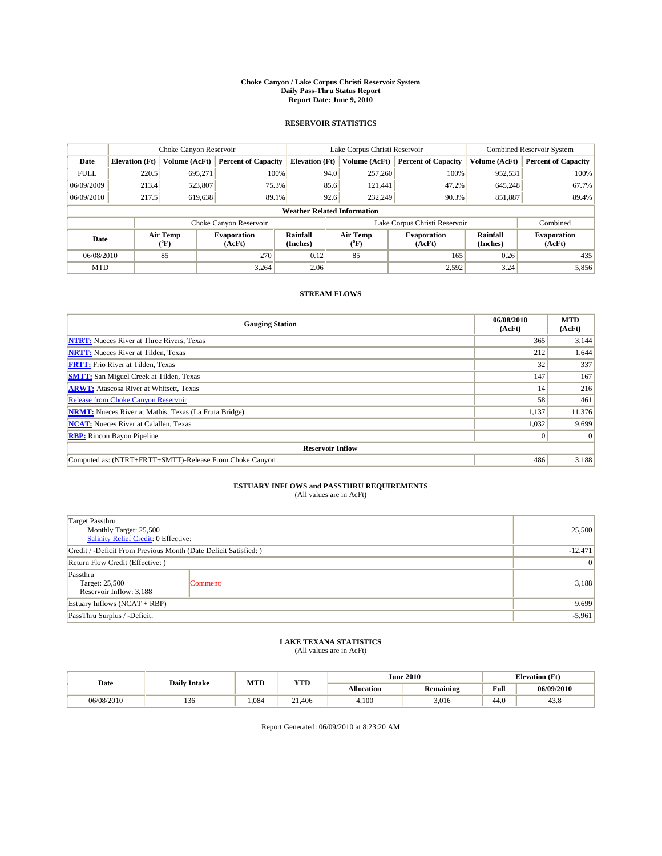#### **Choke Canyon / Lake Corpus Christi Reservoir System Daily Pass-Thru Status Report Report Date: June 9, 2010**

#### **RESERVOIR STATISTICS**

|             | Choke Canyon Reservoir             |                  |                              |                       | Lake Corpus Christi Reservoir | Combined Reservoir System     |                      |                              |  |  |
|-------------|------------------------------------|------------------|------------------------------|-----------------------|-------------------------------|-------------------------------|----------------------|------------------------------|--|--|
| Date        | <b>Elevation</b> (Ft)              | Volume (AcFt)    | <b>Percent of Capacity</b>   | <b>Elevation</b> (Ft) | Volume (AcFt)                 | <b>Percent of Capacity</b>    | Volume (AcFt)        | <b>Percent of Capacity</b>   |  |  |
| <b>FULL</b> | 220.5                              | 695.271          | 100%                         | 94.0                  | 257,260                       | 100%                          | 952,531              | 100%                         |  |  |
| 06/09/2009  | 213.4                              | 523,807          | 75.3%                        | 85.6                  | 121,441                       | 47.2%                         | 645,248              | 67.7%                        |  |  |
| 06/09/2010  | 217.5                              | 619,638          | 89.1%                        | 92.6                  | 232,249                       | 90.3%                         | 851,887              | 89.4%                        |  |  |
|             | <b>Weather Related Information</b> |                  |                              |                       |                               |                               |                      |                              |  |  |
|             |                                    |                  | Choke Canyon Reservoir       |                       |                               | Lake Corpus Christi Reservoir |                      | Combined                     |  |  |
| Date        |                                    | Air Temp<br>(°F) | <b>Evaporation</b><br>(AcFt) | Rainfall<br>(Inches)  | Air Temp<br>$(^{0}F)$         | <b>Evaporation</b><br>(AcFt)  | Rainfall<br>(Inches) | <b>Evaporation</b><br>(AcFt) |  |  |
| 06/08/2010  |                                    | 85               | 270                          | 0.12                  | 85                            | 165                           | 0.26                 | 435                          |  |  |
| <b>MTD</b>  |                                    |                  | 3.264                        | 2.06                  |                               | 2,592                         | 3.24                 | 5,856                        |  |  |

## **STREAM FLOWS**

| <b>Gauging Station</b>                                       | 06/08/2010<br>(AcFt) | <b>MTD</b><br>(AcFt) |
|--------------------------------------------------------------|----------------------|----------------------|
| <b>NTRT:</b> Nueces River at Three Rivers, Texas             | 365                  | 3,144                |
| <b>NRTT:</b> Nueces River at Tilden, Texas                   | 212                  | 1,644                |
| <b>FRTT:</b> Frio River at Tilden, Texas                     | 32                   | 337                  |
| <b>SMTT:</b> San Miguel Creek at Tilden, Texas               | 147                  | 167                  |
| <b>ARWT:</b> Atascosa River at Whitsett, Texas               | 14                   | 216                  |
| <b>Release from Choke Canyon Reservoir</b>                   | 58                   | 461                  |
| <b>NRMT:</b> Nueces River at Mathis, Texas (La Fruta Bridge) | 1,137                | 11,376               |
| <b>NCAT:</b> Nueces River at Calallen, Texas                 | 1,032                | 9,699                |
| <b>RBP:</b> Rincon Bayou Pipeline                            | $\Omega$             | $\Omega$             |
| <b>Reservoir Inflow</b>                                      |                      |                      |
| Computed as: (NTRT+FRTT+SMTT)-Release From Choke Canyon      | 486                  | 3,188                |

# **ESTUARY INFLOWS and PASSTHRU REQUIREMENTS**<br>(All values are in AcFt)

| <b>Target Passthru</b><br>Monthly Target: 25,500<br>Salinity Relief Credit: 0 Effective: |                 | 25,500 |
|------------------------------------------------------------------------------------------|-----------------|--------|
| Credit / -Deficit From Previous Month (Date Deficit Satisfied: )                         | $-12,471$       |        |
| Return Flow Credit (Effective: )                                                         | $\vert 0 \vert$ |        |
| Passthru<br>Target: 25,500<br>Reservoir Inflow: 3,188                                    | Comment:        | 3,188  |
| Estuary Inflows $(NCAT + RBP)$                                                           |                 | 9,699  |
| PassThru Surplus / -Deficit:                                                             | $-5,961$        |        |

## **LAKE TEXANA STATISTICS** (All values are in AcFt)

|            | <b>Daily Intake</b> | MTD  | <b>YTD</b> |            | <b>June 2010</b> | <b>Elevation</b> (Ft)                   |            |
|------------|---------------------|------|------------|------------|------------------|-----------------------------------------|------------|
| Date       |                     |      |            | Allocation | <b>Remaining</b> | Full<br>the contract of the contract of | 06/09/2010 |
| 06/08/2010 | 136                 | .084 | 21.406     | 4.100      | 3.016            | 44.0                                    | 43.8       |

Report Generated: 06/09/2010 at 8:23:20 AM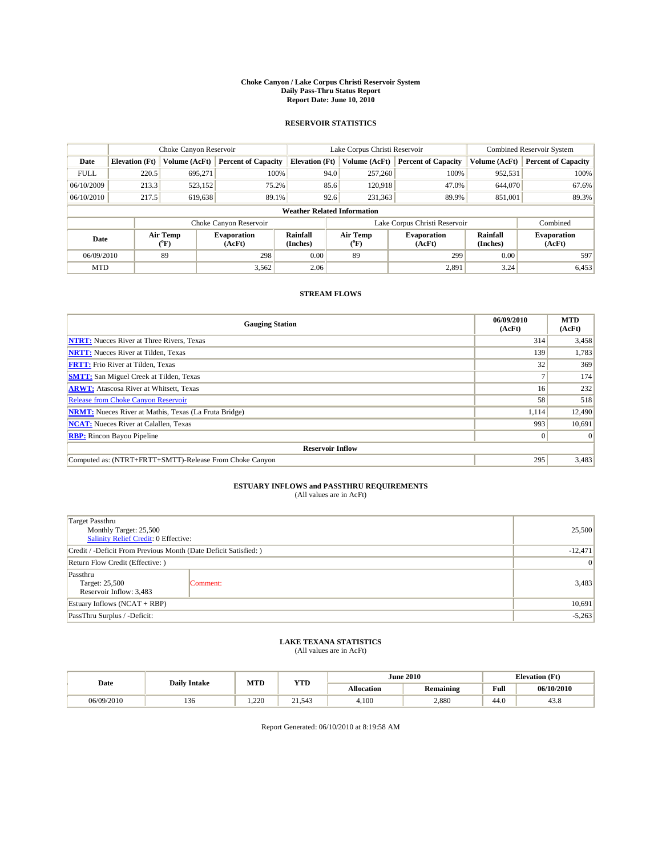#### **Choke Canyon / Lake Corpus Christi Reservoir System Daily Pass-Thru Status Report Report Date: June 10, 2010**

#### **RESERVOIR STATISTICS**

|             | Choke Canyon Reservoir             |                  |                              |                       | Lake Corpus Christi Reservoir |                               | Combined Reservoir System |                              |  |  |  |
|-------------|------------------------------------|------------------|------------------------------|-----------------------|-------------------------------|-------------------------------|---------------------------|------------------------------|--|--|--|
| Date        | <b>Elevation</b> (Ft)              | Volume (AcFt)    | <b>Percent of Capacity</b>   | <b>Elevation (Ft)</b> | Volume (AcFt)                 | <b>Percent of Capacity</b>    | Volume (AcFt)             | <b>Percent of Capacity</b>   |  |  |  |
| <b>FULL</b> | 220.5                              | 695,271          | 100%                         |                       | 94.0<br>257,260               | 100%                          | 952,531                   | 100%                         |  |  |  |
| 06/10/2009  | 213.3                              | 523,152          | 75.2%                        |                       | 85.6<br>120,918               | 47.0%                         | 644,070                   | 67.6%                        |  |  |  |
| 06/10/2010  | 217.5                              | 619,638          | 89.1%                        |                       | 92.6<br>231,363               | 89.9%                         | 851,001                   | 89.3%                        |  |  |  |
|             | <b>Weather Related Information</b> |                  |                              |                       |                               |                               |                           |                              |  |  |  |
|             |                                    |                  | Choke Canyon Reservoir       |                       |                               | Lake Corpus Christi Reservoir |                           | Combined                     |  |  |  |
| Date        |                                    | Air Temp<br>(°F) | <b>Evaporation</b><br>(AcFt) | Rainfall<br>(Inches)  | Air Temp<br>(°F)              | <b>Evaporation</b><br>(AcFt)  | Rainfall<br>(Inches)      | <b>Evaporation</b><br>(AcFt) |  |  |  |
| 06/09/2010  |                                    | 89               | 298                          | 0.00                  | 89                            | 299                           | 0.00                      | 597                          |  |  |  |
| <b>MTD</b>  |                                    |                  | 3,562                        | 2.06                  |                               | 2,891                         | 3.24                      | 6,453                        |  |  |  |

## **STREAM FLOWS**

| <b>Gauging Station</b>                                       | 06/09/2010<br>(AcFt) | <b>MTD</b><br>(AcFt) |
|--------------------------------------------------------------|----------------------|----------------------|
| <b>NTRT:</b> Nueces River at Three Rivers, Texas             | 314                  | 3,458                |
| <b>NRTT:</b> Nueces River at Tilden, Texas                   | 139                  | 1,783                |
| <b>FRTT:</b> Frio River at Tilden, Texas                     | 32                   | 369                  |
| <b>SMTT:</b> San Miguel Creek at Tilden, Texas               |                      | 174                  |
| <b>ARWT:</b> Atascosa River at Whitsett, Texas               | 16                   | 232                  |
| <b>Release from Choke Canyon Reservoir</b>                   | 58                   | 518                  |
| <b>NRMT:</b> Nueces River at Mathis, Texas (La Fruta Bridge) | 1,114                | 12,490               |
| <b>NCAT:</b> Nueces River at Calallen, Texas                 | 993                  | 10,691               |
| <b>RBP:</b> Rincon Bayou Pipeline                            | $\Omega$             | $\Omega$             |
| <b>Reservoir Inflow</b>                                      |                      |                      |
| Computed as: (NTRT+FRTT+SMTT)-Release From Choke Canyon      | 295                  | 3,483                |

# **ESTUARY INFLOWS and PASSTHRU REQUIREMENTS**<br>(All values are in AcFt)

| <b>Target Passthru</b><br>Monthly Target: 25,500<br>Salinity Relief Credit: 0 Effective: | 25,500          |       |
|------------------------------------------------------------------------------------------|-----------------|-------|
| Credit / -Deficit From Previous Month (Date Deficit Satisfied: )                         | $-12,471$       |       |
| Return Flow Credit (Effective: )                                                         | $\vert 0 \vert$ |       |
| Passthru<br>Target: 25,500<br>Reservoir Inflow: 3,483                                    | Comment:        | 3,483 |
| Estuary Inflows $(NCAT + RBP)$                                                           | 10,691          |       |
| PassThru Surplus / -Deficit:                                                             | $-5,263$        |       |

## **LAKE TEXANA STATISTICS** (All values are in AcFt)

| Date       | <b>Daily Intake</b> | MTD<br><b>YTD</b> | <b>June 2010</b> |                   | <b>Elevation</b> (Ft) |                                         |            |
|------------|---------------------|-------------------|------------------|-------------------|-----------------------|-----------------------------------------|------------|
|            |                     |                   |                  | <b>Allocation</b> | <b>Remaining</b>      | Full<br>the contract of the contract of | 06/10/2010 |
| 06/09/2010 | 10<<br>136          | 1.220             | 21.543           | 4.100             | 2.880                 | 44.0                                    | 45.8       |

Report Generated: 06/10/2010 at 8:19:58 AM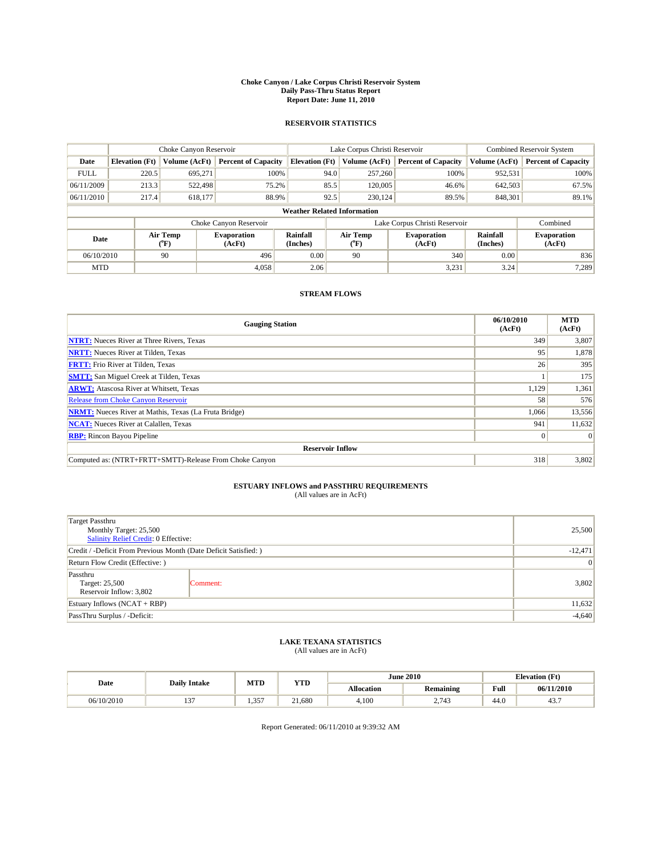#### **Choke Canyon / Lake Corpus Christi Reservoir System Daily Pass-Thru Status Report Report Date: June 11, 2010**

#### **RESERVOIR STATISTICS**

|             | Choke Canyon Reservoir             |                       |                              |                       | Lake Corpus Christi Reservoir |                  |                               |                      | Combined Reservoir System    |  |  |  |
|-------------|------------------------------------|-----------------------|------------------------------|-----------------------|-------------------------------|------------------|-------------------------------|----------------------|------------------------------|--|--|--|
| Date        | <b>Elevation</b> (Ft)              | Volume (AcFt)         | <b>Percent of Capacity</b>   | <b>Elevation (Ft)</b> |                               | Volume (AcFt)    | <b>Percent of Capacity</b>    | Volume (AcFt)        | <b>Percent of Capacity</b>   |  |  |  |
| <b>FULL</b> | 220.5                              | 695,271               | 100%                         |                       | 94.0                          | 257,260          | 100%                          | 952,531              | 100%                         |  |  |  |
| 06/11/2009  | 213.3                              | 522,498               | 75.2%                        |                       | 85.5                          | 120,005          | 46.6%                         | 642,503              | 67.5%                        |  |  |  |
| 06/11/2010  | 217.4                              | 618,177               | 88.9%                        |                       | 92.5                          | 230.124          | 89.5%                         | 848.301              | 89.1%                        |  |  |  |
|             | <b>Weather Related Information</b> |                       |                              |                       |                               |                  |                               |                      |                              |  |  |  |
|             |                                    |                       | Choke Canyon Reservoir       |                       |                               |                  | Lake Corpus Christi Reservoir |                      | Combined                     |  |  |  |
| Date        |                                    | Air Temp<br>$(^{0}F)$ | <b>Evaporation</b><br>(AcFt) | Rainfall<br>(Inches)  |                               | Air Temp<br>("F) | <b>Evaporation</b><br>(AcFt)  | Rainfall<br>(Inches) | <b>Evaporation</b><br>(AcFt) |  |  |  |
| 06/10/2010  |                                    | 90                    | 496                          | 0.00                  |                               | 90               | 340                           | 0.00                 | 836                          |  |  |  |
| <b>MTD</b>  |                                    |                       | 4.058                        | 2.06                  |                               |                  | 3,231                         | 3.24                 | 7.289                        |  |  |  |

## **STREAM FLOWS**

| <b>Gauging Station</b>                                       | 06/10/2010<br>(AcFt) | <b>MTD</b><br>(AcFt) |
|--------------------------------------------------------------|----------------------|----------------------|
| <b>NTRT:</b> Nueces River at Three Rivers, Texas             | 349                  | 3,807                |
| <b>NRTT:</b> Nueces River at Tilden, Texas                   | 95                   | 1,878                |
| <b>FRTT:</b> Frio River at Tilden, Texas                     | 26                   | 395                  |
| <b>SMTT:</b> San Miguel Creek at Tilden, Texas               |                      | 175                  |
| <b>ARWT:</b> Atascosa River at Whitsett, Texas               | 1,129                | 1,361                |
| <b>Release from Choke Canyon Reservoir</b>                   | 58                   | 576                  |
| <b>NRMT:</b> Nueces River at Mathis, Texas (La Fruta Bridge) | 1,066                | 13,556               |
| <b>NCAT:</b> Nueces River at Calallen, Texas                 | 941                  | 11,632               |
| <b>RBP:</b> Rincon Bayou Pipeline                            | $\Omega$             | $\Omega$             |
| <b>Reservoir Inflow</b>                                      |                      |                      |
| Computed as: (NTRT+FRTT+SMTT)-Release From Choke Canyon      | 318                  | 3,802                |

# **ESTUARY INFLOWS and PASSTHRU REQUIREMENTS**<br>(All values are in AcFt)

| <b>Target Passthru</b><br>Monthly Target: 25,500<br>Salinity Relief Credit: 0 Effective: | 25,500          |       |
|------------------------------------------------------------------------------------------|-----------------|-------|
| Credit / -Deficit From Previous Month (Date Deficit Satisfied: )                         | $-12,471$       |       |
| Return Flow Credit (Effective: )                                                         | $\vert 0 \vert$ |       |
| Passthru<br>Target: 25,500<br>Reservoir Inflow: 3,802                                    | Comment:        | 3,802 |
| Estuary Inflows $(NCAT + RBP)$                                                           | 11,632          |       |
| PassThru Surplus / -Deficit:                                                             | $-4,640$        |       |

## **LAKE TEXANA STATISTICS** (All values are in AcFt)

| Date       | <b>Daily Intake</b>      | MTD        | <b>YTD</b> |                   | <b>June 2010</b>  |                                         | <b>Elevation</b> (Ft) |
|------------|--------------------------|------------|------------|-------------------|-------------------|-----------------------------------------|-----------------------|
|            |                          |            |            | <b>Allocation</b> | <b>Remaining</b>  | Full<br>the contract of the contract of | 06/11/2010            |
| 06/10/2010 | $\sim$<br>$\overline{1}$ | 357<br>رزن | 21.680     | 4.100             | 2.732<br><u>.</u> | 44.0                                    | 45.7                  |

Report Generated: 06/11/2010 at 9:39:32 AM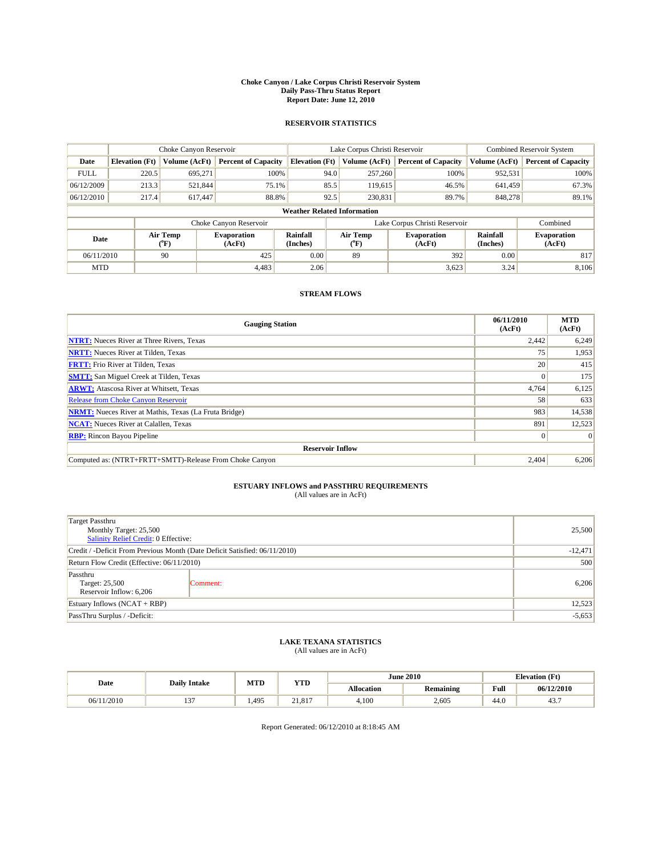#### **Choke Canyon / Lake Corpus Christi Reservoir System Daily Pass-Thru Status Report Report Date: June 12, 2010**

#### **RESERVOIR STATISTICS**

|             | Choke Canyon Reservoir             |                                      |                              |                       | Lake Corpus Christi Reservoir |                  |                               |                      | Combined Reservoir System    |  |  |
|-------------|------------------------------------|--------------------------------------|------------------------------|-----------------------|-------------------------------|------------------|-------------------------------|----------------------|------------------------------|--|--|
| Date        | <b>Elevation</b> (Ft)              | Volume (AcFt)                        | <b>Percent of Capacity</b>   | <b>Elevation (Ft)</b> |                               | Volume (AcFt)    | <b>Percent of Capacity</b>    | Volume (AcFt)        | <b>Percent of Capacity</b>   |  |  |
| <b>FULL</b> | 220.5                              | 695,271                              | 100%                         |                       | 94.0                          | 257,260          | 100%                          | 952,531              | 100%                         |  |  |
| 06/12/2009  | 213.3                              | 521,844                              | 75.1%                        |                       | 85.5                          | 119,615          | 46.5%                         | 641.459              | 67.3%                        |  |  |
| 06/12/2010  | 217.4                              | 617,447                              | 88.8%                        |                       | 92.5                          | 230,831          | 89.7%                         | 848,278              | 89.1%                        |  |  |
|             | <b>Weather Related Information</b> |                                      |                              |                       |                               |                  |                               |                      |                              |  |  |
|             |                                    |                                      | Choke Canyon Reservoir       |                       |                               |                  | Lake Corpus Christi Reservoir |                      | Combined                     |  |  |
| Date        |                                    | Air Temp<br>$({}^{\circ}\mathrm{F})$ | <b>Evaporation</b><br>(AcFt) | Rainfall<br>(Inches)  |                               | Air Temp<br>("F) | <b>Evaporation</b><br>(AcFt)  | Rainfall<br>(Inches) | <b>Evaporation</b><br>(AcFt) |  |  |
| 06/11/2010  |                                    | 90                                   | 425                          | 0.00                  |                               | 89               | 392                           | 0.00                 | 817                          |  |  |
| <b>MTD</b>  |                                    |                                      | 4.483                        | 2.06                  |                               |                  | 3,623                         | 3.24                 | 8.106                        |  |  |

## **STREAM FLOWS**

| <b>Gauging Station</b>                                       | 06/11/2010<br>(AcFt) | <b>MTD</b><br>(AcFt) |
|--------------------------------------------------------------|----------------------|----------------------|
| <b>NTRT:</b> Nueces River at Three Rivers, Texas             | 2,442                | 6,249                |
| <b>NRTT:</b> Nueces River at Tilden, Texas                   | 75                   | 1,953                |
| <b>FRTT:</b> Frio River at Tilden, Texas                     | 20                   | 415                  |
| <b>SMTT:</b> San Miguel Creek at Tilden, Texas               |                      | 175                  |
| <b>ARWT:</b> Atascosa River at Whitsett, Texas               | 4,764                | 6,125                |
| <b>Release from Choke Canyon Reservoir</b>                   | 58                   | 633                  |
| <b>NRMT:</b> Nueces River at Mathis, Texas (La Fruta Bridge) | 983                  | 14,538               |
| <b>NCAT:</b> Nueces River at Calallen, Texas                 | 891                  | 12,523               |
| <b>RBP:</b> Rincon Bayou Pipeline                            | $\Omega$             | $\Omega$             |
| <b>Reservoir Inflow</b>                                      |                      |                      |
| Computed as: (NTRT+FRTT+SMTT)-Release From Choke Canyon      | 2,404                | 6,206                |

# **ESTUARY INFLOWS and PASSTHRU REQUIREMENTS**<br>(All values are in AcFt)

| <b>Target Passthru</b>                                                     |          |           |
|----------------------------------------------------------------------------|----------|-----------|
| Monthly Target: 25,500<br>Salinity Relief Credit: 0 Effective:             | 25,500   |           |
| Credit / -Deficit From Previous Month (Date Deficit Satisfied: 06/11/2010) |          | $-12,471$ |
| Return Flow Credit (Effective: 06/11/2010)                                 | 500      |           |
| Passthru<br>Target: 25,500<br>Reservoir Inflow: 6,206                      | Comment: | 6,206     |
| Estuary Inflows (NCAT + RBP)                                               |          | 12,523    |
| PassThru Surplus / -Deficit:                                               |          | $-5,653$  |

## **LAKE TEXANA STATISTICS** (All values are in AcFt)

| Date       | <b>Daily Intake</b>      | MTD   | <b>YTD</b> |                   | <b>June 2010</b> | <b>Elevation</b> (Ft)                   |            |
|------------|--------------------------|-------|------------|-------------------|------------------|-----------------------------------------|------------|
|            |                          |       |            | <b>Allocation</b> | <b>Remaining</b> | Full<br>the contract of the contract of | 06/12/2010 |
| 06/11/2010 | $\sim$<br>$\overline{1}$ | 1.495 | 21.817     | 4.100             | 2.605            | 44.0                                    | 43.,       |

Report Generated: 06/12/2010 at 8:18:45 AM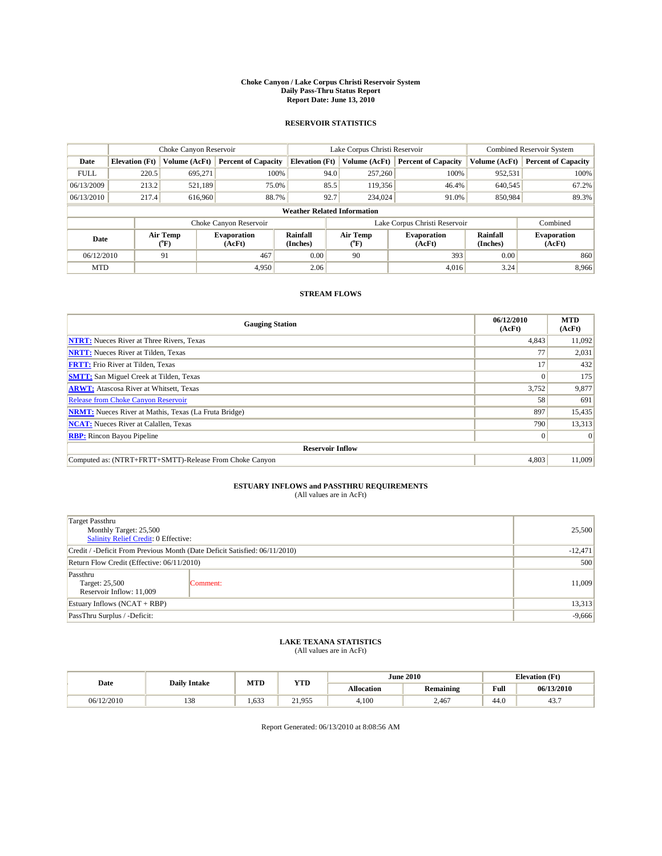#### **Choke Canyon / Lake Corpus Christi Reservoir System Daily Pass-Thru Status Report Report Date: June 13, 2010**

#### **RESERVOIR STATISTICS**

|             | Choke Canyon Reservoir             |                  |                              |                       | Lake Corpus Christi Reservoir |                               | Combined Reservoir System |                              |  |  |
|-------------|------------------------------------|------------------|------------------------------|-----------------------|-------------------------------|-------------------------------|---------------------------|------------------------------|--|--|
| Date        | <b>Elevation</b> (Ft)              | Volume (AcFt)    | <b>Percent of Capacity</b>   | <b>Elevation (Ft)</b> | Volume (AcFt)                 | <b>Percent of Capacity</b>    | Volume (AcFt)             | <b>Percent of Capacity</b>   |  |  |
| <b>FULL</b> | 220.5                              | 695,271          | 100%                         |                       | 94.0<br>257,260               | 100%                          | 952,531                   | 100%                         |  |  |
| 06/13/2009  | 213.2                              | 521,189          | 75.0%                        |                       | 85.5<br>119,356               | 46.4%                         | 640,545                   | 67.2%                        |  |  |
| 06/13/2010  | 217.4                              | 616,960          | 88.7%                        | 92.7                  | 234,024                       | 91.0%                         | 850.984                   | 89.3%                        |  |  |
|             | <b>Weather Related Information</b> |                  |                              |                       |                               |                               |                           |                              |  |  |
|             |                                    |                  | Choke Canyon Reservoir       |                       |                               | Lake Corpus Christi Reservoir |                           | Combined                     |  |  |
| Date        |                                    | Air Temp<br>(°F) | <b>Evaporation</b><br>(AcFt) | Rainfall<br>(Inches)  | Air Temp<br>("F)              | <b>Evaporation</b><br>(AcFt)  | Rainfall<br>(Inches)      | <b>Evaporation</b><br>(AcFt) |  |  |
| 06/12/2010  |                                    | 91               | 467                          | 0.00                  | 90                            | 393                           | 0.00                      | 860                          |  |  |
| <b>MTD</b>  |                                    |                  | 4.950                        | 2.06                  |                               | 4.016                         | 3.24                      | 8.966                        |  |  |

## **STREAM FLOWS**

| <b>Gauging Station</b>                                       | 06/12/2010<br>(AcFt) | <b>MTD</b><br>(AcFt) |  |  |  |  |
|--------------------------------------------------------------|----------------------|----------------------|--|--|--|--|
| <b>NTRT:</b> Nueces River at Three Rivers, Texas             | 4,843                | 11,092               |  |  |  |  |
| <b>NRTT:</b> Nueces River at Tilden, Texas                   | 77                   | 2,031                |  |  |  |  |
| <b>FRTT:</b> Frio River at Tilden, Texas                     | 17                   | 432                  |  |  |  |  |
| <b>SMTT:</b> San Miguel Creek at Tilden, Texas               |                      | 175                  |  |  |  |  |
| <b>ARWT:</b> Atascosa River at Whitsett, Texas               | 3,752                | 9,877                |  |  |  |  |
| <b>Release from Choke Canyon Reservoir</b>                   | 58                   | 691                  |  |  |  |  |
| <b>NRMT:</b> Nueces River at Mathis, Texas (La Fruta Bridge) | 897                  | 15,435               |  |  |  |  |
| <b>NCAT:</b> Nueces River at Calallen, Texas                 | 790                  | 13,313               |  |  |  |  |
| <b>RBP:</b> Rincon Bayou Pipeline                            | $\Omega$             | $\Omega$             |  |  |  |  |
| <b>Reservoir Inflow</b>                                      |                      |                      |  |  |  |  |
| Computed as: (NTRT+FRTT+SMTT)-Release From Choke Canyon      | 4.803                | 11,009               |  |  |  |  |

# **ESTUARY INFLOWS and PASSTHRU REQUIREMENTS**<br>(All values are in AcFt)

| <b>Target Passthru</b>                                                     |           |        |
|----------------------------------------------------------------------------|-----------|--------|
| Monthly Target: 25,500<br>Salinity Relief Credit: 0 Effective:             | 25,500    |        |
| Credit / -Deficit From Previous Month (Date Deficit Satisfied: 06/11/2010) | $-12,471$ |        |
| Return Flow Credit (Effective: 06/11/2010)                                 | 500       |        |
| Passthru<br>Target: 25,500<br>Reservoir Inflow: 11,009                     | Comment:  | 11,009 |
| Estuary Inflows (NCAT + RBP)                                               |           | 13,313 |
| PassThru Surplus / -Deficit:                                               | $-9,666$  |        |

## **LAKE TEXANA STATISTICS** (All values are in AcFt)

|            | <b>Daily Intake</b> | MTD   | <b>YTD</b> |                   | <b>June 2010</b> | <b>Elevation</b> (Ft)                   |            |
|------------|---------------------|-------|------------|-------------------|------------------|-----------------------------------------|------------|
| Date       |                     |       |            | <b>Allocation</b> | <b>Remaining</b> | Full<br>the contract of the contract of | 06/13/2010 |
| 06/12/2010 | 120<br>1.20         | 1.633 | 21.955     | 4.100             | 2.467            | 44.0                                    | 43.,       |

Report Generated: 06/13/2010 at 8:08:56 AM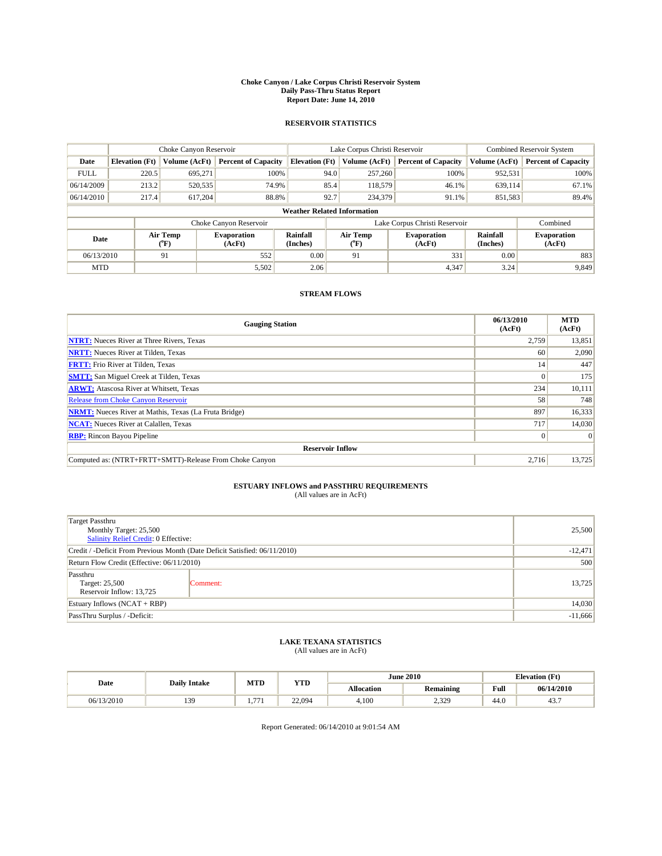#### **Choke Canyon / Lake Corpus Christi Reservoir System Daily Pass-Thru Status Report Report Date: June 14, 2010**

#### **RESERVOIR STATISTICS**

|             | Choke Canyon Reservoir             |                  |                              |                       | Lake Corpus Christi Reservoir | Combined Reservoir System     |                      |                              |  |  |
|-------------|------------------------------------|------------------|------------------------------|-----------------------|-------------------------------|-------------------------------|----------------------|------------------------------|--|--|
| Date        | <b>Elevation</b> (Ft)              | Volume (AcFt)    | <b>Percent of Capacity</b>   | <b>Elevation (Ft)</b> | Volume (AcFt)                 | <b>Percent of Capacity</b>    | Volume (AcFt)        | <b>Percent of Capacity</b>   |  |  |
| <b>FULL</b> | 220.5                              | 695,271          | 100%                         | 94.0                  | 257,260                       | 100%                          | 952,531              | 100%                         |  |  |
| 06/14/2009  | 213.2                              | 520,535          | 74.9%                        | 85.4                  | 118,579                       | 46.1%                         | 639,114              | 67.1%                        |  |  |
| 06/14/2010  | 217.4                              | 617,204          | 88.8%                        | 92.7                  | 234,379                       | 91.1%                         | 851,583              | 89.4%                        |  |  |
|             | <b>Weather Related Information</b> |                  |                              |                       |                               |                               |                      |                              |  |  |
|             |                                    |                  | Choke Canyon Reservoir       |                       |                               | Lake Corpus Christi Reservoir |                      | Combined                     |  |  |
| Date        |                                    | Air Temp<br>(°F) | <b>Evaporation</b><br>(AcFt) | Rainfall<br>(Inches)  | Air Temp<br>("F)              | <b>Evaporation</b><br>(AcFt)  | Rainfall<br>(Inches) | <b>Evaporation</b><br>(AcFt) |  |  |
| 06/13/2010  |                                    | 91               | 552                          | 0.00                  | 91                            | 331                           | 0.00                 | 883                          |  |  |
| <b>MTD</b>  |                                    |                  | 5,502                        | 2.06                  |                               | 4,347                         | 3.24                 | 9,849                        |  |  |

## **STREAM FLOWS**

| <b>Gauging Station</b>                                       | 06/13/2010<br>(AcFt) | <b>MTD</b><br>(AcFt) |
|--------------------------------------------------------------|----------------------|----------------------|
| <b>NTRT:</b> Nueces River at Three Rivers, Texas             | 2,759                | 13,851               |
| <b>NRTT:</b> Nueces River at Tilden, Texas                   | 60                   | 2,090                |
| <b>FRTT:</b> Frio River at Tilden, Texas                     | 14                   | 447                  |
| <b>SMTT:</b> San Miguel Creek at Tilden, Texas               |                      | 175                  |
| <b>ARWT:</b> Atascosa River at Whitsett, Texas               | 234                  | 10,111               |
| <b>Release from Choke Canyon Reservoir</b>                   | 58                   | 748                  |
| <b>NRMT:</b> Nueces River at Mathis, Texas (La Fruta Bridge) | 897                  | 16,333               |
| <b>NCAT:</b> Nueces River at Calallen, Texas                 | 717                  | 14,030               |
| <b>RBP:</b> Rincon Bayou Pipeline                            | $\Omega$             | $\Omega$             |
| <b>Reservoir Inflow</b>                                      |                      |                      |
| Computed as: (NTRT+FRTT+SMTT)-Release From Choke Canyon      | 2.716                | 13,725               |

# **ESTUARY INFLOWS and PASSTHRU REQUIREMENTS**<br>(All values are in AcFt)

| <b>Target Passthru</b>                                                     |           |        |
|----------------------------------------------------------------------------|-----------|--------|
| Monthly Target: 25,500<br>Salinity Relief Credit: 0 Effective:             | 25,500    |        |
| Credit / -Deficit From Previous Month (Date Deficit Satisfied: 06/11/2010) | $-12,471$ |        |
| Return Flow Credit (Effective: 06/11/2010)                                 | 500       |        |
| Passthru<br>Target: 25,500<br>Reservoir Inflow: 13,725                     | Comment:  | 13,725 |
| Estuary Inflows (NCAT + RBP)                                               |           | 14,030 |
| PassThru Surplus / -Deficit:                                               | $-11,666$ |        |

## **LAKE TEXANA STATISTICS** (All values are in AcFt)

|            | <b>Daily Intake</b> | MTD        | <b>YTD</b> |                   | <b>June 2010</b> | <b>Elevation</b> (Ft)                   |            |
|------------|---------------------|------------|------------|-------------------|------------------|-----------------------------------------|------------|
| Date       |                     |            |            | <b>Allocation</b> | <b>Remaining</b> | Full<br>the contract of the contract of | 06/14/2010 |
| 06/13/2010 | 139                 | 77'<br>. . | 22,094     | 4,100             | 2,329            | 44.0                                    | 43.,       |

Report Generated: 06/14/2010 at 9:01:54 AM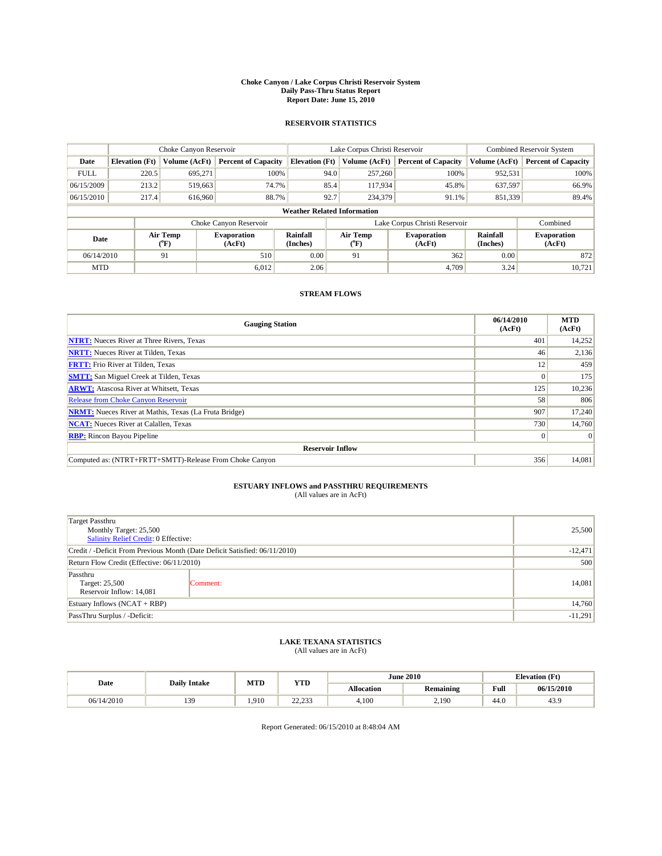#### **Choke Canyon / Lake Corpus Christi Reservoir System Daily Pass-Thru Status Report Report Date: June 15, 2010**

#### **RESERVOIR STATISTICS**

|             | Choke Canyon Reservoir             |                  |                              |                       | Lake Corpus Christi Reservoir | <b>Combined Reservoir System</b> |                      |                              |  |  |
|-------------|------------------------------------|------------------|------------------------------|-----------------------|-------------------------------|----------------------------------|----------------------|------------------------------|--|--|
| Date        | <b>Elevation</b> (Ft)              | Volume (AcFt)    | <b>Percent of Capacity</b>   | <b>Elevation (Ft)</b> | Volume (AcFt)                 | <b>Percent of Capacity</b>       | Volume (AcFt)        | <b>Percent of Capacity</b>   |  |  |
| <b>FULL</b> | 220.5                              | 695.271          | 100%                         | 94.0                  | 257,260                       | 100%                             | 952,531              | 100%                         |  |  |
| 06/15/2009  | 213.2                              | 519,663          | 74.7%                        | 85.4                  | 117,934                       | 45.8%                            | 637,597              | 66.9%                        |  |  |
| 06/15/2010  | 217.4                              | 616,960          | 88.7%                        | 92.7                  | 234,379                       | 91.1%                            | 851,339              | 89.4%                        |  |  |
|             | <b>Weather Related Information</b> |                  |                              |                       |                               |                                  |                      |                              |  |  |
|             |                                    |                  | Choke Canyon Reservoir       |                       |                               | Lake Corpus Christi Reservoir    |                      | Combined                     |  |  |
| Date        |                                    | Air Temp<br>(°F) | <b>Evaporation</b><br>(AcFt) | Rainfall<br>(Inches)  | Air Temp<br>(°F)              | <b>Evaporation</b><br>(AcFt)     | Rainfall<br>(Inches) | <b>Evaporation</b><br>(AcFt) |  |  |
| 06/14/2010  |                                    | 91               | 510                          | 0.00                  | 91                            | 362                              | 0.00                 | 872                          |  |  |
| <b>MTD</b>  |                                    |                  | 6.012                        | 2.06                  |                               | 4.709                            | 3.24                 | 10,721                       |  |  |

## **STREAM FLOWS**

| <b>Gauging Station</b>                                       | 06/14/2010<br>(AcFt) | <b>MTD</b><br>(AcFt) |  |  |  |  |  |
|--------------------------------------------------------------|----------------------|----------------------|--|--|--|--|--|
| <b>NTRT:</b> Nueces River at Three Rivers, Texas             | 401                  | 14,252               |  |  |  |  |  |
| <b>NRTT:</b> Nueces River at Tilden, Texas                   | 46                   | 2,136                |  |  |  |  |  |
| <b>FRTT:</b> Frio River at Tilden, Texas                     | 12                   | 459                  |  |  |  |  |  |
| <b>SMTT:</b> San Miguel Creek at Tilden, Texas               |                      | 175                  |  |  |  |  |  |
| <b>ARWT:</b> Atascosa River at Whitsett, Texas               | 125                  | 10,236               |  |  |  |  |  |
| <b>Release from Choke Canyon Reservoir</b>                   | 58                   | 806                  |  |  |  |  |  |
| <b>NRMT:</b> Nueces River at Mathis, Texas (La Fruta Bridge) | 907                  | 17,240               |  |  |  |  |  |
| <b>NCAT:</b> Nueces River at Calallen, Texas                 | 730                  | 14,760               |  |  |  |  |  |
| <b>RBP:</b> Rincon Bayou Pipeline                            | $\Omega$             | $\Omega$             |  |  |  |  |  |
| <b>Reservoir Inflow</b>                                      |                      |                      |  |  |  |  |  |
| Computed as: (NTRT+FRTT+SMTT)-Release From Choke Canyon      | 356                  | 14,081               |  |  |  |  |  |

# **ESTUARY INFLOWS and PASSTHRU REQUIREMENTS**<br>(All values are in AcFt)

| Target Passthru                                                            |           |        |
|----------------------------------------------------------------------------|-----------|--------|
| Monthly Target: 25,500<br>Salinity Relief Credit: 0 Effective:             | 25,500    |        |
| Credit / -Deficit From Previous Month (Date Deficit Satisfied: 06/11/2010) | $-12,471$ |        |
| Return Flow Credit (Effective: 06/11/2010)                                 | 500       |        |
| Passthru<br>Target: 25,500<br>Reservoir Inflow: 14,081                     | Comment:  | 14,081 |
| Estuary Inflows (NCAT + RBP)                                               |           | 14,760 |
| PassThru Surplus / -Deficit:                                               | $-11,291$ |        |

# **LAKE TEXANA STATISTICS** (All values are in AcFt)

|            | <b>Daily Intake</b> | MTD   | YTD                | <b>June 2010</b> |                  | <b>Elevation</b> (Ft) |            |
|------------|---------------------|-------|--------------------|------------------|------------------|-----------------------|------------|
| Date       |                     |       |                    | Allocation       | <b>Remaining</b> | Full                  | 06/15/2010 |
| 06/14/2010 | 13Q<br>ر رند        | 1.910 | 22.22<br>ر رے دیکھ | 4.100            | 2.190            | 44.0                  | . с<br>43. |

Report Generated: 06/15/2010 at 8:48:04 AM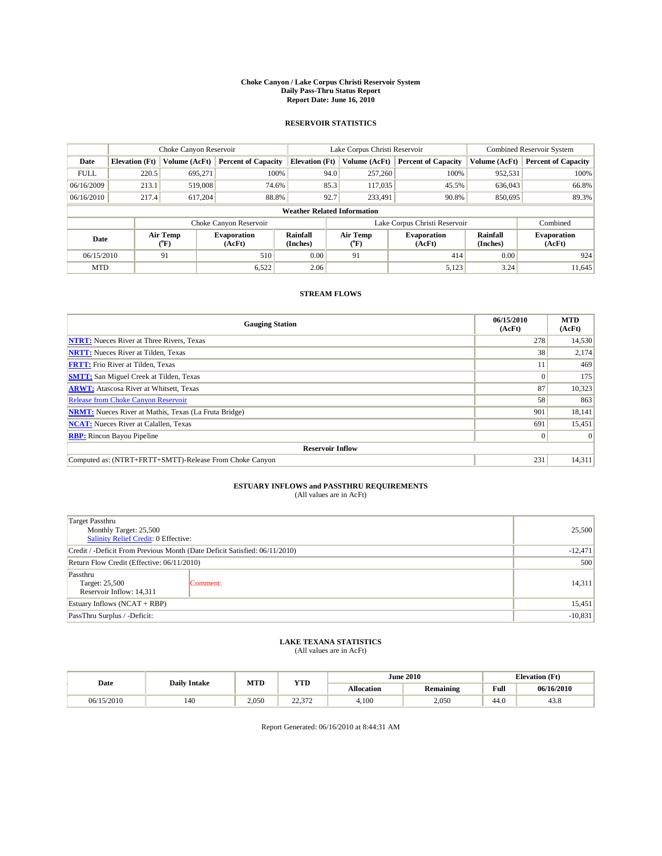#### **Choke Canyon / Lake Corpus Christi Reservoir System Daily Pass-Thru Status Report Report Date: June 16, 2010**

#### **RESERVOIR STATISTICS**

|             | Choke Canyon Reservoir             |                  |                              |                       | Lake Corpus Christi Reservoir | <b>Combined Reservoir System</b> |                      |                              |  |  |
|-------------|------------------------------------|------------------|------------------------------|-----------------------|-------------------------------|----------------------------------|----------------------|------------------------------|--|--|
| Date        | <b>Elevation</b> (Ft)              | Volume (AcFt)    | <b>Percent of Capacity</b>   | <b>Elevation (Ft)</b> | Volume (AcFt)                 | <b>Percent of Capacity</b>       | Volume (AcFt)        | <b>Percent of Capacity</b>   |  |  |
| <b>FULL</b> | 220.5                              | 695.271          | 100%                         | 94.0                  | 257,260                       | 100%                             | 952,531              | 100%                         |  |  |
| 06/16/2009  | 213.1                              | 519,008          | 74.6%                        | 85.3                  | 117,035                       | 45.5%                            | 636,043              | 66.8%                        |  |  |
| 06/16/2010  | 217.4                              | 617,204          | 88.8%                        | 92.7                  | 233,491                       | 90.8%                            | 850,695              | 89.3%                        |  |  |
|             | <b>Weather Related Information</b> |                  |                              |                       |                               |                                  |                      |                              |  |  |
|             |                                    |                  | Choke Canyon Reservoir       |                       |                               | Lake Corpus Christi Reservoir    |                      | Combined                     |  |  |
| Date        |                                    | Air Temp<br>(°F) | <b>Evaporation</b><br>(AcFt) | Rainfall<br>(Inches)  | Air Temp<br>(°F)              | <b>Evaporation</b><br>(AcFt)     | Rainfall<br>(Inches) | <b>Evaporation</b><br>(AcFt) |  |  |
| 06/15/2010  |                                    | 91               | 510                          | 0.00                  | 91                            | 414                              | 0.00                 | 924                          |  |  |
| <b>MTD</b>  |                                    |                  | 6,522                        | 2.06                  |                               | 5,123                            | 3.24                 | 11,645                       |  |  |

## **STREAM FLOWS**

| <b>Gauging Station</b>                                       | 06/15/2010<br>(AcFt) | <b>MTD</b><br>(AcFt) |
|--------------------------------------------------------------|----------------------|----------------------|
| <b>NTRT:</b> Nueces River at Three Rivers, Texas             | 278                  | 14,530               |
| <b>NRTT:</b> Nueces River at Tilden, Texas                   | 38                   | 2,174                |
| <b>FRTT:</b> Frio River at Tilden, Texas                     |                      | 469                  |
| <b>SMTT:</b> San Miguel Creek at Tilden, Texas               |                      | 175                  |
| <b>ARWT:</b> Atascosa River at Whitsett, Texas               | 87                   | 10,323               |
| <b>Release from Choke Canyon Reservoir</b>                   | 58                   | 863                  |
| <b>NRMT:</b> Nueces River at Mathis, Texas (La Fruta Bridge) | 901                  | 18,141               |
| <b>NCAT:</b> Nueces River at Calallen, Texas                 | 691                  | 15,451               |
| <b>RBP:</b> Rincon Bayou Pipeline                            | $\Omega$             | $\Omega$             |
| <b>Reservoir Inflow</b>                                      |                      |                      |
| Computed as: (NTRT+FRTT+SMTT)-Release From Choke Canyon      | 231                  | 14,311               |

# **ESTUARY INFLOWS and PASSTHRU REQUIREMENTS**<br>(All values are in AcFt)

| Target Passthru                                                            |          | 25,500    |  |  |  |
|----------------------------------------------------------------------------|----------|-----------|--|--|--|
| Monthly Target: 25,500<br>Salinity Relief Credit: 0 Effective:             |          |           |  |  |  |
| Credit / -Deficit From Previous Month (Date Deficit Satisfied: 06/11/2010) |          |           |  |  |  |
|                                                                            |          |           |  |  |  |
| Return Flow Credit (Effective: 06/11/2010)                                 |          |           |  |  |  |
| Passthru<br>Target: 25,500<br>Reservoir Inflow: 14,311                     | Comment: | 14,311    |  |  |  |
| Estuary Inflows (NCAT + RBP)                                               |          | 15,451    |  |  |  |
| PassThru Surplus / -Deficit:                                               |          | $-10,831$ |  |  |  |

## **LAKE TEXANA STATISTICS** (All values are in AcFt)

| Date       | <b>Daily Intake</b> | MTD   | <b>YTD</b>             |            | <b>June 2010</b> | <b>Elevation</b> (Ft)                   |            |
|------------|---------------------|-------|------------------------|------------|------------------|-----------------------------------------|------------|
|            |                     |       |                        | Allocation | <b>Remaining</b> | Full<br>the contract of the contract of | 06/16/2010 |
| 06/15/2010 | 140                 | 2.050 | $\sim$<br>272<br>22.JI | 4.100      | 2.050            | 44.0                                    | 43.8       |

Report Generated: 06/16/2010 at 8:44:31 AM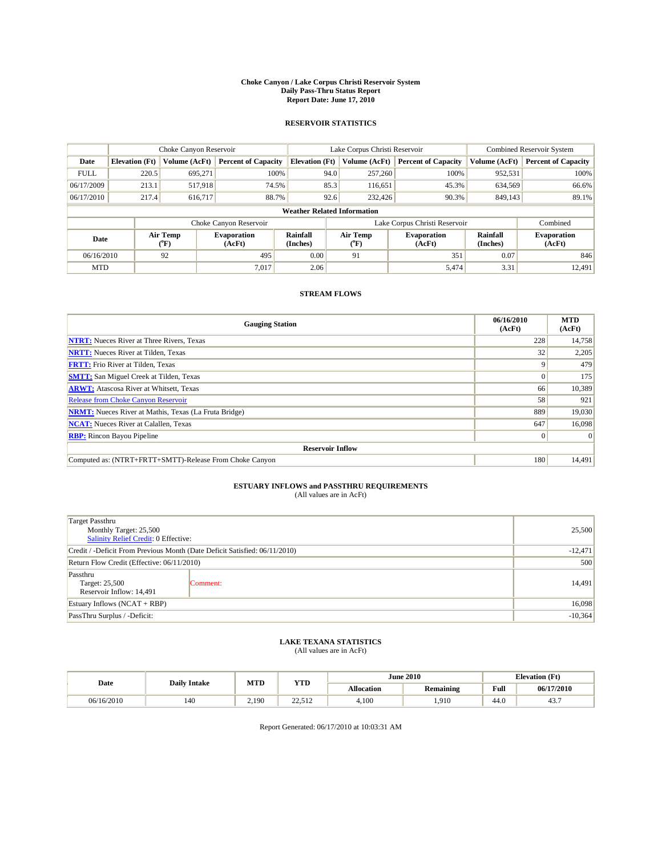#### **Choke Canyon / Lake Corpus Christi Reservoir System Daily Pass-Thru Status Report Report Date: June 17, 2010**

#### **RESERVOIR STATISTICS**

|             | Choke Canyon Reservoir             |                       |                              |                       | Lake Corpus Christi Reservoir |         |                               |                      | Combined Reservoir System    |  |  |
|-------------|------------------------------------|-----------------------|------------------------------|-----------------------|-------------------------------|---------|-------------------------------|----------------------|------------------------------|--|--|
| Date        | <b>Elevation</b> (Ft)              | Volume (AcFt)         | <b>Percent of Capacity</b>   | <b>Elevation (Ft)</b> | Volume (AcFt)                 |         | <b>Percent of Capacity</b>    | Volume (AcFt)        | <b>Percent of Capacity</b>   |  |  |
| <b>FULL</b> | 220.5                              | 695,271               | 100%                         |                       | 94.0                          | 257,260 | 100%                          | 952,531              | 100%                         |  |  |
| 06/17/2009  | 213.1                              | 517,918               | 74.5%                        |                       | 85.3                          | 116,651 | 45.3%                         | 634,569              | 66.6%                        |  |  |
| 06/17/2010  | 217.4                              | 616,717               | 88.7%                        |                       | 92.6                          | 232,426 | 90.3%                         | 849,143              | 89.1%                        |  |  |
|             | <b>Weather Related Information</b> |                       |                              |                       |                               |         |                               |                      |                              |  |  |
|             |                                    |                       | Choke Canyon Reservoir       |                       |                               |         | Lake Corpus Christi Reservoir |                      | Combined                     |  |  |
| Date        |                                    | Air Temp<br>$(^{0}F)$ | <b>Evaporation</b><br>(AcFt) | Rainfall<br>(Inches)  | Air Temp<br>("F)              |         | <b>Evaporation</b><br>(AcFt)  | Rainfall<br>(Inches) | <b>Evaporation</b><br>(AcFt) |  |  |
| 06/16/2010  |                                    | 92                    | 495                          | 0.00                  | 91                            |         | 351                           | 0.07                 | 846                          |  |  |
| <b>MTD</b>  |                                    |                       | 7.017                        | 2.06                  |                               |         | 5,474                         | 3.31                 | 12.491                       |  |  |

## **STREAM FLOWS**

| <b>Gauging Station</b>                                       | 06/16/2010<br>(AcFt) | <b>MTD</b><br>(AcFt) |
|--------------------------------------------------------------|----------------------|----------------------|
| <b>NTRT:</b> Nueces River at Three Rivers, Texas             | 228                  | 14,758               |
| <b>NRTT:</b> Nueces River at Tilden, Texas                   | 32                   | 2,205                |
| <b>FRTT:</b> Frio River at Tilden, Texas                     | Q                    | 479                  |
| <b>SMTT:</b> San Miguel Creek at Tilden, Texas               |                      | 175                  |
| <b>ARWT:</b> Atascosa River at Whitsett, Texas               | 66                   | 10,389               |
| <b>Release from Choke Canyon Reservoir</b>                   | 58                   | 921                  |
| <b>NRMT:</b> Nueces River at Mathis, Texas (La Fruta Bridge) | 889                  | 19,030               |
| <b>NCAT:</b> Nueces River at Calallen, Texas                 | 647                  | 16.098               |
| <b>RBP:</b> Rincon Bayou Pipeline                            | $\Omega$             | $\Omega$             |
| <b>Reservoir Inflow</b>                                      |                      |                      |
| Computed as: (NTRT+FRTT+SMTT)-Release From Choke Canyon      | 180                  | 14,491               |

# **ESTUARY INFLOWS and PASSTHRU REQUIREMENTS**<br>(All values are in AcFt)

| Target Passthru<br>Monthly Target: 25,500<br>Salinity Relief Credit: 0 Effective: |          | 25,500    |
|-----------------------------------------------------------------------------------|----------|-----------|
| Credit / -Deficit From Previous Month (Date Deficit Satisfied: 06/11/2010)        |          | $-12,471$ |
| Return Flow Credit (Effective: 06/11/2010)                                        |          |           |
| Passthru<br>Target: 25,500<br>Reservoir Inflow: 14,491                            | Comment: | 14,491    |
| Estuary Inflows $(NCAT + RBP)$                                                    |          | 16,098    |
| PassThru Surplus / -Deficit:                                                      |          | $-10,364$ |

## **LAKE TEXANA STATISTICS** (All values are in AcFt)

| Date       | <b>Daily Intake</b> | MTD   | YTD              |            | <b>June 2010</b> |      | <b>Elevation</b> (Ft) |
|------------|---------------------|-------|------------------|------------|------------------|------|-----------------------|
|            |                     |       |                  | Allocation | <b>Remaining</b> | Full | 06/17/2010            |
| 06/16/2010 | 140                 | 2.190 | 22.512<br>22.JIZ | 4.100      | 1.910            | 44.0 | ட:<br>٠.              |

Report Generated: 06/17/2010 at 10:03:31 AM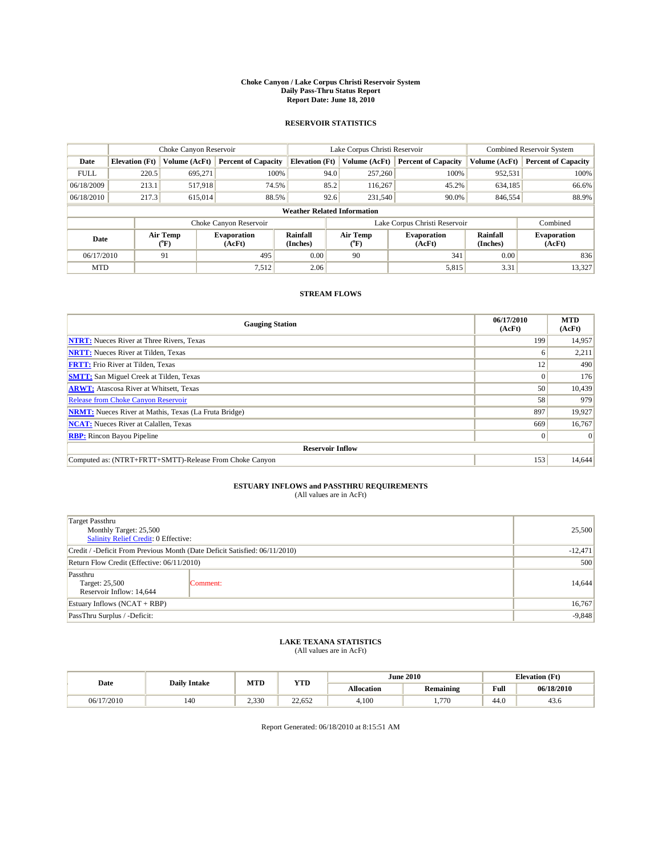#### **Choke Canyon / Lake Corpus Christi Reservoir System Daily Pass-Thru Status Report Report Date: June 18, 2010**

#### **RESERVOIR STATISTICS**

|             | Choke Canyon Reservoir             |                  |                              |                       | Lake Corpus Christi Reservoir | <b>Combined Reservoir System</b> |                      |                              |  |  |
|-------------|------------------------------------|------------------|------------------------------|-----------------------|-------------------------------|----------------------------------|----------------------|------------------------------|--|--|
| Date        | <b>Elevation</b> (Ft)              | Volume (AcFt)    | <b>Percent of Capacity</b>   | <b>Elevation (Ft)</b> | Volume (AcFt)                 | <b>Percent of Capacity</b>       | Volume (AcFt)        | <b>Percent of Capacity</b>   |  |  |
| <b>FULL</b> | 220.5                              | 695,271          | 100%                         | 94.0                  | 257,260                       | 100%                             | 952,531              | 100%                         |  |  |
| 06/18/2009  | 213.1                              | 517,918          | 74.5%                        | 85.2                  | 116,267                       | 45.2%                            | 634,185              | 66.6%                        |  |  |
| 06/18/2010  | 217.3                              | 615,014          | 88.5%                        | 92.6                  | 231,540                       | 90.0%                            | 846,554              | 88.9%                        |  |  |
|             | <b>Weather Related Information</b> |                  |                              |                       |                               |                                  |                      |                              |  |  |
|             |                                    |                  | Choke Canyon Reservoir       |                       |                               | Lake Corpus Christi Reservoir    |                      | Combined                     |  |  |
| Date        |                                    | Air Temp<br>(°F) | <b>Evaporation</b><br>(AcFt) | Rainfall<br>(Inches)  | Air Temp<br>("F)              | <b>Evaporation</b><br>(AcFt)     | Rainfall<br>(Inches) | <b>Evaporation</b><br>(AcFt) |  |  |
| 06/17/2010  |                                    | 91               | 495                          | 0.00                  | 90                            | 341                              | 0.00                 | 836                          |  |  |
| <b>MTD</b>  |                                    |                  | 7,512                        | 2.06                  |                               | 5,815                            | 3.31                 | 13,327                       |  |  |

## **STREAM FLOWS**

| <b>Gauging Station</b>                                       | 06/17/2010<br>(AcFt) | <b>MTD</b><br>(AcFt) |
|--------------------------------------------------------------|----------------------|----------------------|
| <b>NTRT:</b> Nueces River at Three Rivers, Texas             | 199                  | 14,957               |
| <b>NRTT:</b> Nueces River at Tilden, Texas                   |                      | 2,211                |
| <b>FRTT:</b> Frio River at Tilden, Texas                     | 12                   | 490                  |
| <b>SMTT:</b> San Miguel Creek at Tilden, Texas               |                      | 176                  |
| <b>ARWT:</b> Atascosa River at Whitsett, Texas               | 50                   | 10,439               |
| <b>Release from Choke Canyon Reservoir</b>                   | 58                   | 979                  |
| <b>NRMT:</b> Nueces River at Mathis, Texas (La Fruta Bridge) | 897                  | 19,927               |
| <b>NCAT:</b> Nueces River at Calallen, Texas                 | 669                  | 16,767               |
| <b>RBP:</b> Rincon Bayou Pipeline                            | $\Omega$             | $\Omega$             |
| <b>Reservoir Inflow</b>                                      |                      |                      |
| Computed as: (NTRT+FRTT+SMTT)-Release From Choke Canyon      | 153                  | 14,644               |

# **ESTUARY INFLOWS and PASSTHRU REQUIREMENTS**<br>(All values are in AcFt)

| Target Passthru<br>Monthly Target: 25,500<br>Salinity Relief Credit: 0 Effective: |           | 25,500 |
|-----------------------------------------------------------------------------------|-----------|--------|
| Credit / -Deficit From Previous Month (Date Deficit Satisfied: 06/11/2010)        | $-12,471$ |        |
| Return Flow Credit (Effective: 06/11/2010)                                        | 500       |        |
| Passthru<br>Target: 25,500<br>Reservoir Inflow: 14,644                            | Comment:  | 14,644 |
| Estuary Inflows $(NCAT + RBP)$                                                    | 16,767    |        |
| PassThru Surplus / -Deficit:                                                      | $-9,848$  |        |

## **LAKE TEXANA STATISTICS** (All values are in AcFt)

| Date       | <b>Daily Intake</b> | MTD   | YTD    |            | <b>June 2010</b> | <b>Elevation</b> (Ft) |            |
|------------|---------------------|-------|--------|------------|------------------|-----------------------|------------|
|            |                     |       |        | Allocation | <b>Remaining</b> | Full                  | 06/18/2010 |
| 06/17/2010 | 140                 | 2.330 | 22.652 | 4.100      | 1.770            | 44.0                  | 45.0       |

Report Generated: 06/18/2010 at 8:15:51 AM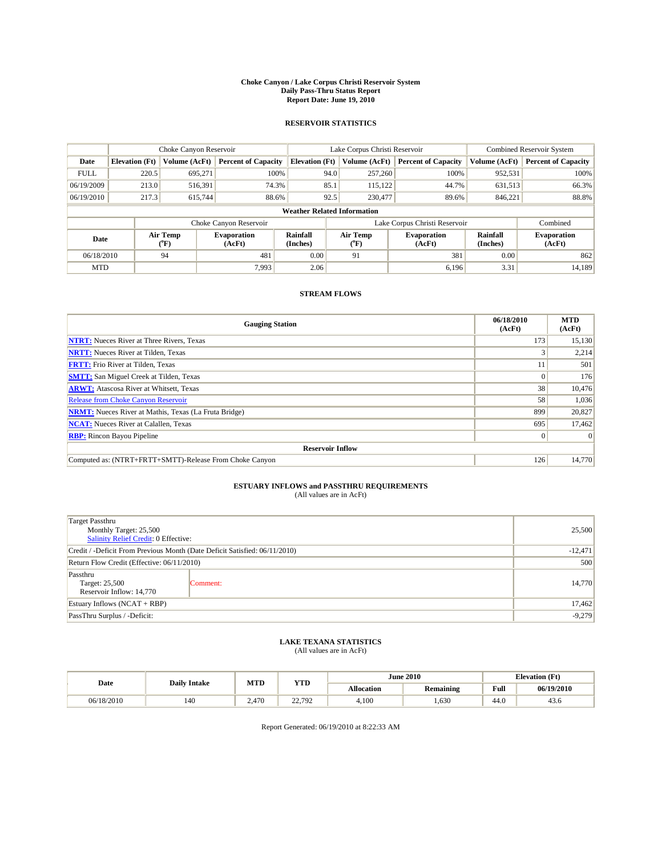#### **Choke Canyon / Lake Corpus Christi Reservoir System Daily Pass-Thru Status Report Report Date: June 19, 2010**

#### **RESERVOIR STATISTICS**

|             | Choke Canyon Reservoir             |                  |                              |                       | Lake Corpus Christi Reservoir | Combined Reservoir System     |                      |                              |  |  |  |
|-------------|------------------------------------|------------------|------------------------------|-----------------------|-------------------------------|-------------------------------|----------------------|------------------------------|--|--|--|
| Date        | <b>Elevation</b> (Ft)              | Volume (AcFt)    | <b>Percent of Capacity</b>   | <b>Elevation (Ft)</b> | Volume (AcFt)                 | <b>Percent of Capacity</b>    | Volume (AcFt)        | <b>Percent of Capacity</b>   |  |  |  |
| <b>FULL</b> | 220.5                              | 695,271          | 100%                         | 94.0                  | 257,260                       | 100%                          | 952,531              | 100%                         |  |  |  |
| 06/19/2009  | 213.0                              | 516,391          | 74.3%                        | 85.1                  | 115,122                       | 44.7%                         | 631,513              | 66.3%                        |  |  |  |
| 06/19/2010  | 217.3                              | 615,744          | 88.6%                        | 92.5                  | 230,477                       | 89.6%                         | 846.221              | 88.8%                        |  |  |  |
|             | <b>Weather Related Information</b> |                  |                              |                       |                               |                               |                      |                              |  |  |  |
|             |                                    |                  | Choke Canyon Reservoir       |                       |                               | Lake Corpus Christi Reservoir |                      | Combined                     |  |  |  |
| Date        |                                    | Air Temp<br>(°F) | <b>Evaporation</b><br>(AcFt) | Rainfall<br>(Inches)  | Air Temp<br>("F)              | <b>Evaporation</b><br>(AcFt)  | Rainfall<br>(Inches) | <b>Evaporation</b><br>(AcFt) |  |  |  |
| 06/18/2010  |                                    | 94               | 481                          | 0.00                  | 91                            | 381                           | 0.00                 | 862                          |  |  |  |
| <b>MTD</b>  |                                    |                  | 7.993                        | 2.06                  |                               | 6.196                         | 3.31                 | 14.189                       |  |  |  |

## **STREAM FLOWS**

| <b>Gauging Station</b>                                       | 06/18/2010<br>(AcFt) | <b>MTD</b><br>(AcFt) |
|--------------------------------------------------------------|----------------------|----------------------|
| <b>NTRT:</b> Nueces River at Three Rivers, Texas             | 173                  | 15,130               |
| <b>NRTT:</b> Nueces River at Tilden, Texas                   |                      | 2,214                |
| <b>FRTT:</b> Frio River at Tilden, Texas                     |                      | 501                  |
| <b>SMTT:</b> San Miguel Creek at Tilden, Texas               |                      | 176                  |
| <b>ARWT:</b> Atascosa River at Whitsett, Texas               | 38                   | 10,476               |
| <b>Release from Choke Canyon Reservoir</b>                   | 58                   | 1,036                |
| <b>NRMT:</b> Nueces River at Mathis, Texas (La Fruta Bridge) | 899                  | 20,827               |
| <b>NCAT:</b> Nueces River at Calallen, Texas                 | 695                  | 17,462               |
| <b>RBP:</b> Rincon Bayou Pipeline                            | $\Omega$             | $\Omega$             |
| <b>Reservoir Inflow</b>                                      |                      |                      |
| Computed as: (NTRT+FRTT+SMTT)-Release From Choke Canyon      | 126                  | 14,770               |

# **ESTUARY INFLOWS and PASSTHRU REQUIREMENTS**<br>(All values are in AcFt)

| Target Passthru<br>Monthly Target: 25,500<br>Salinity Relief Credit: 0 Effective: |          |           |  |  |
|-----------------------------------------------------------------------------------|----------|-----------|--|--|
| Credit / -Deficit From Previous Month (Date Deficit Satisfied: 06/11/2010)        |          | $-12,471$ |  |  |
| Return Flow Credit (Effective: 06/11/2010)                                        |          | 500       |  |  |
| Passthru<br>Target: 25,500<br>Reservoir Inflow: 14,770                            | Comment: | 14,770    |  |  |
| Estuary Inflows $(NCAT + RBP)$                                                    |          | 17,462    |  |  |
| PassThru Surplus / -Deficit:                                                      |          | $-9,279$  |  |  |

## **LAKE TEXANA STATISTICS** (All values are in AcFt)

| Date       | <b>Daily Intake</b> | MTD<br><b>YTD</b> |        |                   | <b>June 2010</b> | <b>Elevation</b> (Ft)                   |            |
|------------|---------------------|-------------------|--------|-------------------|------------------|-----------------------------------------|------------|
|            |                     |                   |        | <b>Allocation</b> | <b>Remaining</b> | Full<br>the contract of the contract of | 06/19/2010 |
| 06/18/2010 | 140                 | 2.470             | 22.792 | 4.100             | .630             | 44.0                                    | 43.6       |

Report Generated: 06/19/2010 at 8:22:33 AM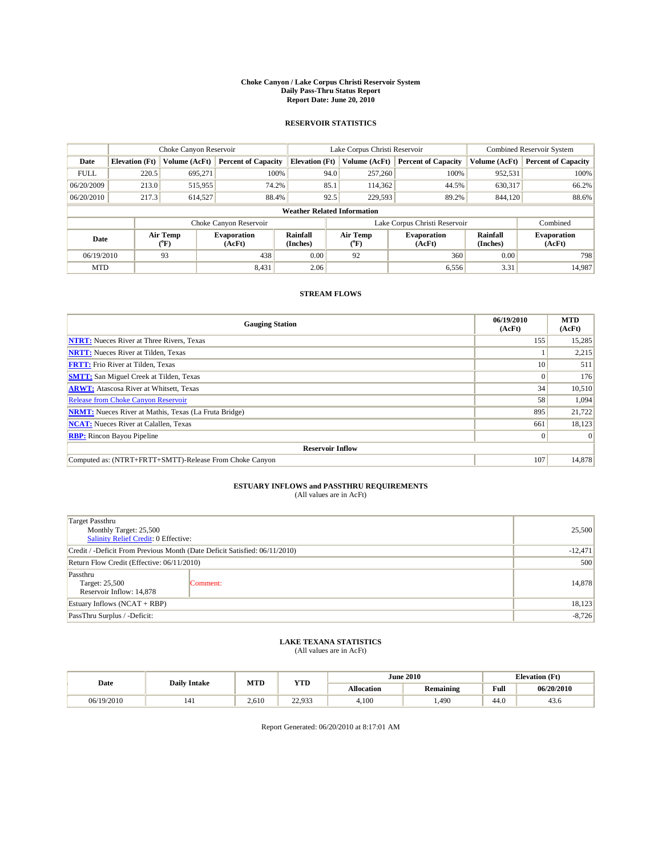#### **Choke Canyon / Lake Corpus Christi Reservoir System Daily Pass-Thru Status Report Report Date: June 20, 2010**

#### **RESERVOIR STATISTICS**

|             | Choke Canyon Reservoir             |                  |                              |                       | Lake Corpus Christi Reservoir |                  |                               |                      | Combined Reservoir System    |  |  |
|-------------|------------------------------------|------------------|------------------------------|-----------------------|-------------------------------|------------------|-------------------------------|----------------------|------------------------------|--|--|
| Date        | <b>Elevation</b> (Ft)              | Volume (AcFt)    | <b>Percent of Capacity</b>   | <b>Elevation (Ft)</b> |                               | Volume (AcFt)    | <b>Percent of Capacity</b>    | Volume (AcFt)        | <b>Percent of Capacity</b>   |  |  |
| <b>FULL</b> | 220.5                              | 695,271          | 100%                         |                       | 94.0                          | 257,260          | 100%                          | 952,531              | 100%                         |  |  |
| 06/20/2009  | 213.0                              | 515,955          | 74.2%                        |                       | 85.1                          | 114,362          | 44.5%                         | 630,317              | 66.2%                        |  |  |
| 06/20/2010  | 217.3                              | 614,527          | 88.4%                        |                       | 92.5                          | 229,593          | 89.2%                         | 844,120              | 88.6%                        |  |  |
|             | <b>Weather Related Information</b> |                  |                              |                       |                               |                  |                               |                      |                              |  |  |
|             |                                    |                  | Choke Canyon Reservoir       |                       |                               |                  | Lake Corpus Christi Reservoir |                      | Combined                     |  |  |
| Date        |                                    | Air Temp<br>(°F) | <b>Evaporation</b><br>(AcFt) | Rainfall<br>(Inches)  |                               | Air Temp<br>("F) | <b>Evaporation</b><br>(AcFt)  | Rainfall<br>(Inches) | <b>Evaporation</b><br>(AcFt) |  |  |
| 06/19/2010  |                                    | 93               | 438                          | 0.00                  |                               | 92               | 360                           | 0.00                 | 798                          |  |  |
| <b>MTD</b>  |                                    |                  | 8,431                        | 2.06                  |                               |                  | 6,556                         | 3.31                 | 14,987                       |  |  |

## **STREAM FLOWS**

| <b>Gauging Station</b>                                       | 06/19/2010<br>(AcFt) | <b>MTD</b><br>(AcFt) |
|--------------------------------------------------------------|----------------------|----------------------|
| <b>NTRT:</b> Nueces River at Three Rivers, Texas             | 155                  | 15,285               |
| <b>NRTT:</b> Nueces River at Tilden, Texas                   |                      | 2,215                |
| <b>FRTT:</b> Frio River at Tilden, Texas                     | 10                   | 511                  |
| <b>SMTT:</b> San Miguel Creek at Tilden, Texas               |                      | 176                  |
| <b>ARWT:</b> Atascosa River at Whitsett, Texas               | 34                   | 10,510               |
| <b>Release from Choke Canyon Reservoir</b>                   | 58                   | 1,094                |
| <b>NRMT:</b> Nueces River at Mathis, Texas (La Fruta Bridge) | 895                  | 21,722               |
| <b>NCAT:</b> Nueces River at Calallen, Texas                 | 661                  | 18,123               |
| <b>RBP:</b> Rincon Bayou Pipeline                            | $\Omega$             | $\Omega$             |
| <b>Reservoir Inflow</b>                                      |                      |                      |
| Computed as: (NTRT+FRTT+SMTT)-Release From Choke Canyon      | 107                  | 14,878               |

# **ESTUARY INFLOWS and PASSTHRU REQUIREMENTS**<br>(All values are in AcFt)

| Target Passthru<br>Monthly Target: 25,500<br>Salinity Relief Credit: 0 Effective: |          |           |  |  |
|-----------------------------------------------------------------------------------|----------|-----------|--|--|
| Credit / -Deficit From Previous Month (Date Deficit Satisfied: 06/11/2010)        |          | $-12,471$ |  |  |
| Return Flow Credit (Effective: 06/11/2010)                                        |          | 500       |  |  |
| Passthru<br>Target: 25,500<br>Reservoir Inflow: 14,878                            | Comment: | 14,878    |  |  |
| Estuary Inflows $(NCAT + RBP)$                                                    |          | 18,123    |  |  |
| PassThru Surplus / -Deficit:                                                      |          | $-8,726$  |  |  |

## **LAKE TEXANA STATISTICS** (All values are in AcFt)

| Date       | <b>Daily Intake</b> | MTD   | <b>YTD</b>              |                   | <b>June 2010</b> |                                         | <b>Elevation</b> (Ft) |
|------------|---------------------|-------|-------------------------|-------------------|------------------|-----------------------------------------|-----------------------|
|            |                     |       |                         | <b>Allocation</b> | <b>Remaining</b> | Full<br>the contract of the contract of | 06/20/2010            |
| 06/19/2010 | 141                 | 2.610 | 220022<br><i>44.733</i> | 4.100             | ,490             | 44.0                                    | 43.6                  |

Report Generated: 06/20/2010 at 8:17:01 AM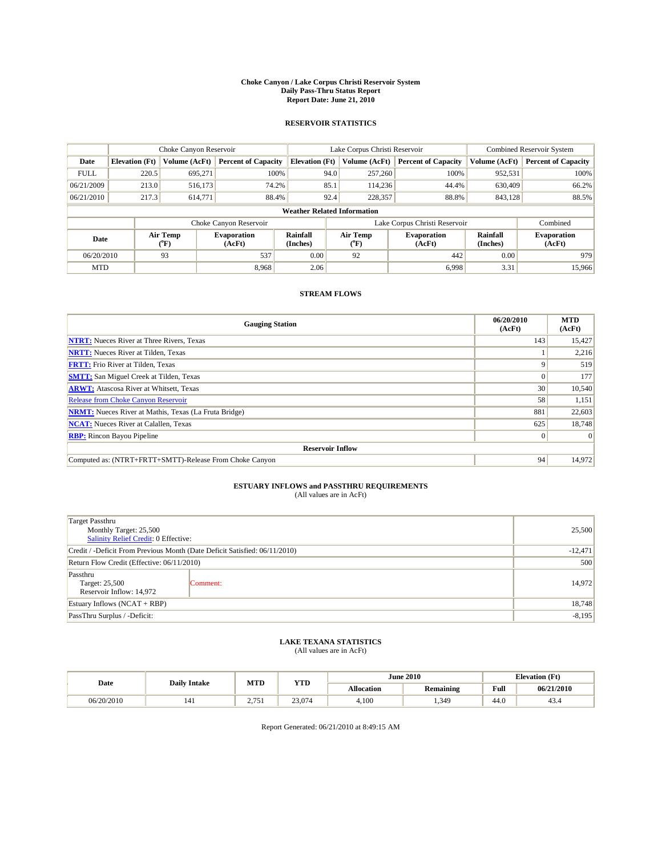#### **Choke Canyon / Lake Corpus Christi Reservoir System Daily Pass-Thru Status Report Report Date: June 21, 2010**

#### **RESERVOIR STATISTICS**

|             | Choke Canyon Reservoir             |                  |                              |                       | Lake Corpus Christi Reservoir |                  |                               |                      | Combined Reservoir System    |  |  |
|-------------|------------------------------------|------------------|------------------------------|-----------------------|-------------------------------|------------------|-------------------------------|----------------------|------------------------------|--|--|
| Date        | <b>Elevation</b> (Ft)              | Volume (AcFt)    | <b>Percent of Capacity</b>   | <b>Elevation (Ft)</b> |                               | Volume (AcFt)    | <b>Percent of Capacity</b>    | Volume (AcFt)        | <b>Percent of Capacity</b>   |  |  |
| <b>FULL</b> | 220.5                              | 695,271          | 100%                         |                       | 94.0                          | 257,260          | 100%                          | 952,531              | 100%                         |  |  |
| 06/21/2009  | 213.0                              | 516,173          | 74.2%                        |                       | 85.1                          | 114,236          | 44.4%                         | 630,409              | 66.2%                        |  |  |
| 06/21/2010  | 217.3                              | 614,771          | 88.4%                        |                       | 92.4                          | 228,357          | 88.8%                         | 843,128              | 88.5%                        |  |  |
|             | <b>Weather Related Information</b> |                  |                              |                       |                               |                  |                               |                      |                              |  |  |
|             |                                    |                  | Choke Canyon Reservoir       |                       |                               |                  | Lake Corpus Christi Reservoir |                      | Combined                     |  |  |
| Date        |                                    | Air Temp<br>(°F) | <b>Evaporation</b><br>(AcFt) | Rainfall<br>(Inches)  |                               | Air Temp<br>(°F) | <b>Evaporation</b><br>(AcFt)  | Rainfall<br>(Inches) | <b>Evaporation</b><br>(AcFt) |  |  |
| 06/20/2010  |                                    | 93               | 537                          | 0.00                  |                               | 92               | 442                           | 0.00                 | 979                          |  |  |
| <b>MTD</b>  |                                    |                  | 8.968                        | 2.06                  |                               |                  | 6.998                         | 3.31                 | 15,966                       |  |  |

## **STREAM FLOWS**

| <b>Gauging Station</b>                                       | 06/20/2010<br>(AcFt) | <b>MTD</b><br>(AcFt) |
|--------------------------------------------------------------|----------------------|----------------------|
| <b>NTRT:</b> Nueces River at Three Rivers, Texas             | 143                  | 15,427               |
| <b>NRTT:</b> Nueces River at Tilden, Texas                   |                      | 2,216                |
| <b>FRTT:</b> Frio River at Tilden, Texas                     |                      | 519                  |
| <b>SMTT:</b> San Miguel Creek at Tilden, Texas               |                      | 177                  |
| <b>ARWT:</b> Atascosa River at Whitsett, Texas               | 30                   | 10,540               |
| <b>Release from Choke Canyon Reservoir</b>                   | 58                   | 1,151                |
| <b>NRMT:</b> Nueces River at Mathis, Texas (La Fruta Bridge) | 881                  | 22,603               |
| <b>NCAT:</b> Nueces River at Calallen, Texas                 | 625                  | 18,748               |
| <b>RBP:</b> Rincon Bayou Pipeline                            | $\Omega$             | $\Omega$             |
| <b>Reservoir Inflow</b>                                      |                      |                      |
| Computed as: (NTRT+FRTT+SMTT)-Release From Choke Canyon      | 94                   | 14,972               |

# **ESTUARY INFLOWS and PASSTHRU REQUIREMENTS**<br>(All values are in AcFt)

| <b>Target Passthru</b><br>Monthly Target: 25,500                           |           | 25,500   |  |  |  |
|----------------------------------------------------------------------------|-----------|----------|--|--|--|
| Salinity Relief Credit: 0 Effective:                                       |           |          |  |  |  |
| Credit / -Deficit From Previous Month (Date Deficit Satisfied: 06/11/2010) | $-12,471$ |          |  |  |  |
| Return Flow Credit (Effective: 06/11/2010)                                 | 500       |          |  |  |  |
| Passthru<br>Target: 25,500<br>Reservoir Inflow: 14,972                     | Comment:  | 14.972   |  |  |  |
| Estuary Inflows (NCAT + RBP)                                               |           | 18,748   |  |  |  |
| PassThru Surplus / -Deficit:                                               |           | $-8,195$ |  |  |  |

## **LAKE TEXANA STATISTICS** (All values are in AcFt)

| Date       | <b>Daily Intake</b> | MTD | <b>YTD</b> |                   | <b>June 2010</b> | <b>Elevation</b> (Ft)                   |            |
|------------|---------------------|-----|------------|-------------------|------------------|-----------------------------------------|------------|
|            |                     |     |            | <b>Allocation</b> | <b>Remaining</b> | Full<br>the contract of the contract of | 06/21/2010 |
| 06/20/2010 | 141                 | 75  | 23,074     | 4,100             | 1,349            | 44.0                                    | 43.4       |

Report Generated: 06/21/2010 at 8:49:15 AM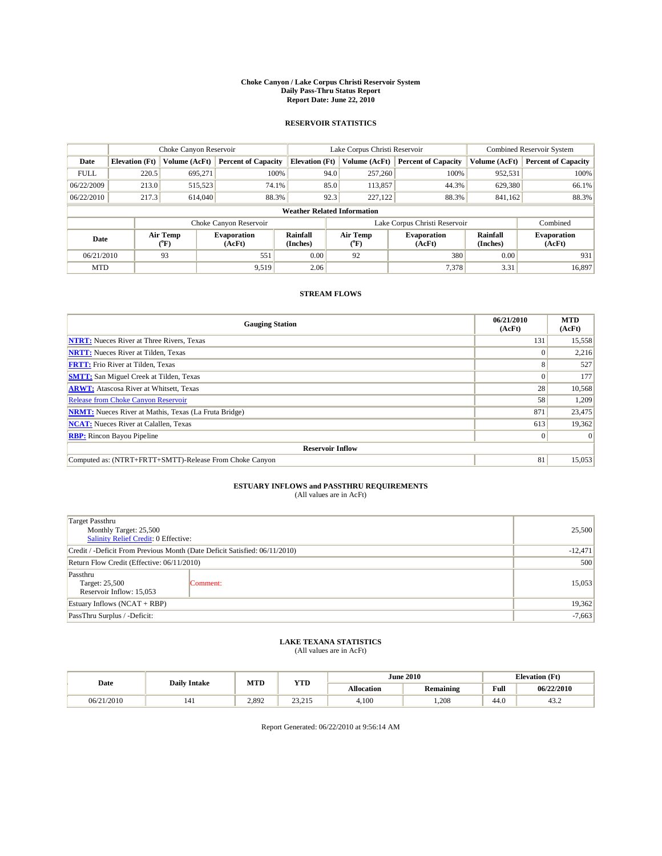#### **Choke Canyon / Lake Corpus Christi Reservoir System Daily Pass-Thru Status Report Report Date: June 22, 2010**

#### **RESERVOIR STATISTICS**

|             | Choke Canyon Reservoir             |                  |                              |                       | Lake Corpus Christi Reservoir | <b>Combined Reservoir System</b> |                      |                              |  |  |
|-------------|------------------------------------|------------------|------------------------------|-----------------------|-------------------------------|----------------------------------|----------------------|------------------------------|--|--|
| Date        | <b>Elevation</b> (Ft)              | Volume (AcFt)    | <b>Percent of Capacity</b>   | <b>Elevation (Ft)</b> | Volume (AcFt)                 | <b>Percent of Capacity</b>       | Volume (AcFt)        | <b>Percent of Capacity</b>   |  |  |
| <b>FULL</b> | 220.5                              | 695.271          | 100%                         | 94.0                  | 257,260                       | 100%                             | 952,531              | 100%                         |  |  |
| 06/22/2009  | 213.0                              | 515,523          | 74.1%                        | 85.0                  | 113,857                       | 44.3%                            | 629,380              | 66.1%                        |  |  |
| 06/22/2010  | 217.3                              | 614,040          | 88.3%                        | 92.3                  | 227,122                       | 88.3%                            | 841,162              | 88.3%                        |  |  |
|             | <b>Weather Related Information</b> |                  |                              |                       |                               |                                  |                      |                              |  |  |
|             |                                    |                  | Choke Canyon Reservoir       |                       | Lake Corpus Christi Reservoir |                                  |                      | Combined                     |  |  |
| Date        |                                    | Air Temp<br>(°F) | <b>Evaporation</b><br>(AcFt) | Rainfall<br>(Inches)  | Air Temp<br>(°F)              | <b>Evaporation</b><br>(AcFt)     | Rainfall<br>(Inches) | <b>Evaporation</b><br>(AcFt) |  |  |
| 06/21/2010  |                                    | 93               | 551                          | 0.00                  | 92                            | 380                              | 0.00                 | 931                          |  |  |
| <b>MTD</b>  |                                    |                  | 9.519                        | 2.06                  |                               | 7,378                            | 3.31                 | 16,897                       |  |  |

## **STREAM FLOWS**

| <b>Gauging Station</b>                                       | 06/21/2010<br>(AcFt) | <b>MTD</b><br>(AcFt) |
|--------------------------------------------------------------|----------------------|----------------------|
| <b>NTRT:</b> Nueces River at Three Rivers, Texas             | 131                  | 15,558               |
| <b>NRTT:</b> Nueces River at Tilden, Texas                   |                      | 2,216                |
| <b>FRTT:</b> Frio River at Tilden, Texas                     | 8                    | 527                  |
| <b>SMTT:</b> San Miguel Creek at Tilden, Texas               |                      | 177                  |
| <b>ARWT:</b> Atascosa River at Whitsett, Texas               | 28                   | 10,568               |
| <b>Release from Choke Canyon Reservoir</b>                   | 58                   | 1,209                |
| <b>NRMT:</b> Nueces River at Mathis, Texas (La Fruta Bridge) | 871                  | 23,475               |
| <b>NCAT:</b> Nueces River at Calallen, Texas                 | 613                  | 19,362               |
| <b>RBP:</b> Rincon Bayou Pipeline                            | $\Omega$             | $\Omega$             |
| <b>Reservoir Inflow</b>                                      |                      |                      |
| Computed as: (NTRT+FRTT+SMTT)-Release From Choke Canyon      | 81                   | 15,053               |

# **ESTUARY INFLOWS and PASSTHRU REQUIREMENTS**<br>(All values are in AcFt)

| <b>Target Passthru</b>                                                     |          |           |
|----------------------------------------------------------------------------|----------|-----------|
| Monthly Target: 25,500<br>Salinity Relief Credit: 0 Effective:             | 25,500   |           |
| Credit / -Deficit From Previous Month (Date Deficit Satisfied: 06/11/2010) |          | $-12,471$ |
| Return Flow Credit (Effective: 06/11/2010)                                 | 500      |           |
| Passthru<br>Target: 25,500<br>Reservoir Inflow: 15,053                     | Comment: | 15,053    |
| Estuary Inflows (NCAT + RBP)                                               |          | 19,362    |
| PassThru Surplus / -Deficit:                                               | $-7,663$ |           |

## **LAKE TEXANA STATISTICS** (All values are in AcFt)

|            | <b>Daily Intake</b> | MTD   | <b>YTD</b>                          |                   | <b>June 2010</b> | <b>Elevation</b> (Ft)                   |            |
|------------|---------------------|-------|-------------------------------------|-------------------|------------------|-----------------------------------------|------------|
| Date       |                     |       |                                     | <b>Allocation</b> | <b>Remaining</b> | Full<br>the contract of the contract of | 06/22/2010 |
| 06/21/2010 | 141                 | 2.892 | 2 <sup>2</sup><br>$-215$<br>ر د د ب | 4.100             | 1.208            | 44.0                                    | 43.2       |

Report Generated: 06/22/2010 at 9:56:14 AM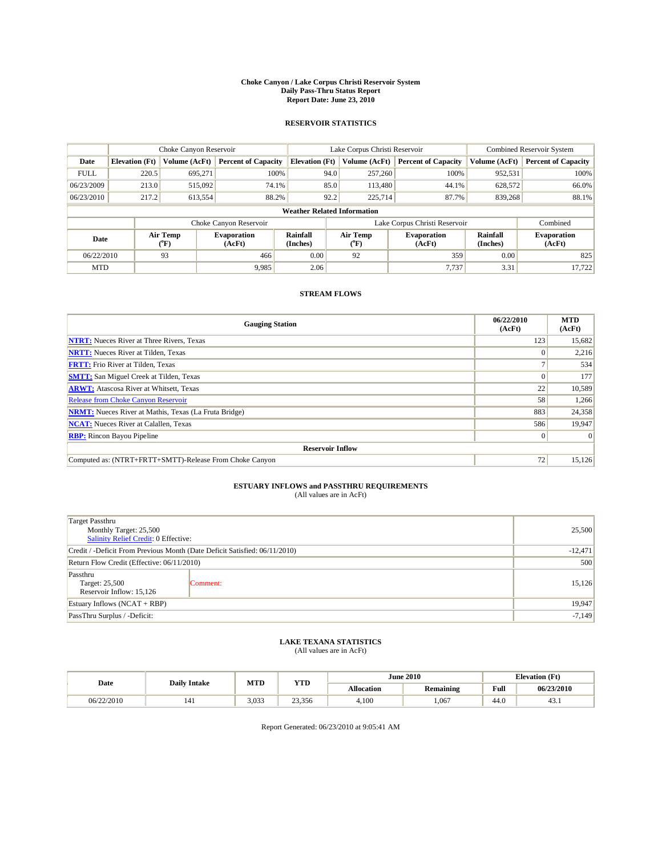#### **Choke Canyon / Lake Corpus Christi Reservoir System Daily Pass-Thru Status Report Report Date: June 23, 2010**

#### **RESERVOIR STATISTICS**

|             | Choke Canyon Reservoir             |                  |                              |                       | Lake Corpus Christi Reservoir |                  |                              |                      | <b>Combined Reservoir System</b> |  |  |
|-------------|------------------------------------|------------------|------------------------------|-----------------------|-------------------------------|------------------|------------------------------|----------------------|----------------------------------|--|--|
| Date        | <b>Elevation</b> (Ft)              | Volume (AcFt)    | <b>Percent of Capacity</b>   | <b>Elevation (Ft)</b> |                               | Volume (AcFt)    | <b>Percent of Capacity</b>   | Volume (AcFt)        | <b>Percent of Capacity</b>       |  |  |
| <b>FULL</b> | 220.5                              | 695,271          | 100%                         |                       | 94.0                          | 257,260          | 100%                         | 952,531              | 100%                             |  |  |
| 06/23/2009  | 213.0                              | 515,092          | 74.1%                        |                       | 85.0                          | 113,480          | 44.1%                        | 628,572              | 66.0%                            |  |  |
| 06/23/2010  | 217.2                              | 613,554          | 88.2%                        |                       | 92.2                          | 225,714          | 87.7%                        | 839,268              | 88.1%                            |  |  |
|             | <b>Weather Related Information</b> |                  |                              |                       |                               |                  |                              |                      |                                  |  |  |
|             |                                    |                  | Choke Canyon Reservoir       |                       | Lake Corpus Christi Reservoir |                  |                              |                      | Combined                         |  |  |
| Date        |                                    | Air Temp<br>(°F) | <b>Evaporation</b><br>(AcFt) | Rainfall<br>(Inches)  |                               | Air Temp<br>("F) | <b>Evaporation</b><br>(AcFt) | Rainfall<br>(Inches) | <b>Evaporation</b><br>(AcFt)     |  |  |
| 06/22/2010  |                                    | 93               | 466                          | 0.00                  |                               | 92               | 359                          | 0.00                 | 825                              |  |  |
| <b>MTD</b>  |                                    |                  | 9.985                        | 2.06                  |                               |                  | 7.737                        | 3.31                 | 17,722                           |  |  |

## **STREAM FLOWS**

| <b>Gauging Station</b>                                       | 06/22/2010<br>(AcFt) | <b>MTD</b><br>(AcFt) |
|--------------------------------------------------------------|----------------------|----------------------|
| <b>NTRT:</b> Nueces River at Three Rivers, Texas             | 123                  | 15,682               |
| <b>NRTT:</b> Nueces River at Tilden, Texas                   |                      | 2,216                |
| <b>FRTT:</b> Frio River at Tilden, Texas                     |                      | 534                  |
| <b>SMTT:</b> San Miguel Creek at Tilden, Texas               |                      | 177                  |
| <b>ARWT:</b> Atascosa River at Whitsett, Texas               | 22                   | 10,589               |
| <b>Release from Choke Canyon Reservoir</b>                   | 58                   | 1,266                |
| <b>NRMT:</b> Nueces River at Mathis, Texas (La Fruta Bridge) | 883                  | 24,358               |
| <b>NCAT:</b> Nueces River at Calallen, Texas                 | 586                  | 19,947               |
| <b>RBP:</b> Rincon Bayou Pipeline                            | $\Omega$             | $\Omega$             |
| <b>Reservoir Inflow</b>                                      |                      |                      |
| Computed as: (NTRT+FRTT+SMTT)-Release From Choke Canyon      | 72                   | 15,126               |

# **ESTUARY INFLOWS and PASSTHRU REQUIREMENTS**<br>(All values are in AcFt)

| <b>Target Passthru</b>                                                     |          |        |  |  |  |
|----------------------------------------------------------------------------|----------|--------|--|--|--|
| Monthly Target: 25,500<br>Salinity Relief Credit: 0 Effective:             | 25,500   |        |  |  |  |
|                                                                            |          |        |  |  |  |
| Credit / -Deficit From Previous Month (Date Deficit Satisfied: 06/11/2010) |          |        |  |  |  |
| Return Flow Credit (Effective: 06/11/2010)                                 | 500      |        |  |  |  |
| Passthru<br>Target: 25,500<br>Reservoir Inflow: 15,126                     | Comment: | 15,126 |  |  |  |
| Estuary Inflows (NCAT + RBP)                                               |          | 19,947 |  |  |  |
| PassThru Surplus / -Deficit:                                               | $-7,149$ |        |  |  |  |

## **LAKE TEXANA STATISTICS** (All values are in AcFt)

| Date       | <b>Daily Intake</b> | MTD   | <b>YTD</b> |                   | <b>June 2010</b> | <b>Elevation</b> (Ft)                   |            |  |
|------------|---------------------|-------|------------|-------------------|------------------|-----------------------------------------|------------|--|
|            |                     |       |            | <b>Allocation</b> | <b>Remaining</b> | Full<br>the contract of the contract of | 06/23/2010 |  |
| 06/22/2010 | 141                 | 3.033 | 23,356     | 4.100             | .067             | 44.0                                    | 43.1       |  |

Report Generated: 06/23/2010 at 9:05:41 AM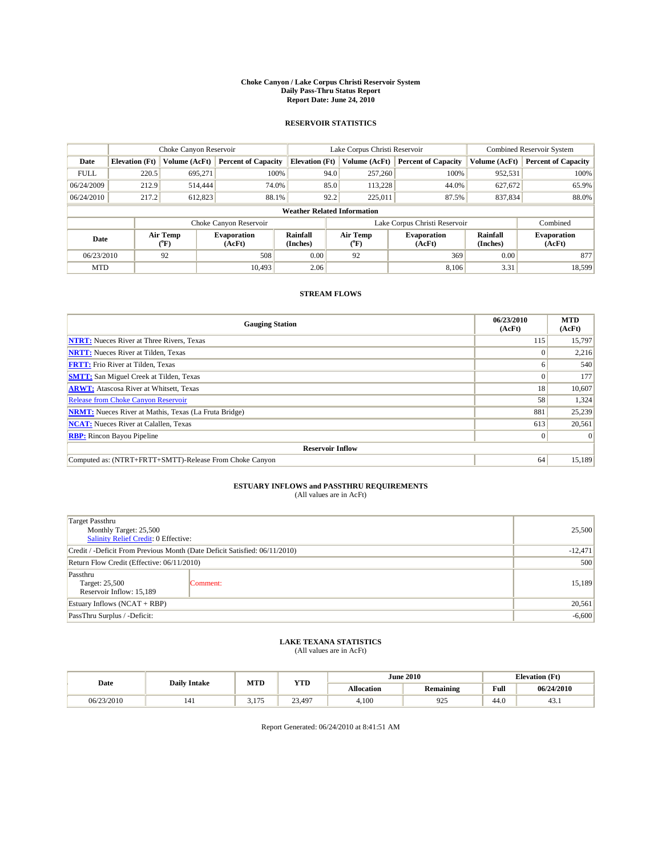#### **Choke Canyon / Lake Corpus Christi Reservoir System Daily Pass-Thru Status Report Report Date: June 24, 2010**

#### **RESERVOIR STATISTICS**

|             | Choke Canyon Reservoir             |                  |                              |                       | Lake Corpus Christi Reservoir | <b>Combined Reservoir System</b> |                      |                              |  |  |
|-------------|------------------------------------|------------------|------------------------------|-----------------------|-------------------------------|----------------------------------|----------------------|------------------------------|--|--|
| Date        | <b>Elevation</b> (Ft)              | Volume (AcFt)    | <b>Percent of Capacity</b>   | <b>Elevation (Ft)</b> | Volume (AcFt)                 | <b>Percent of Capacity</b>       | Volume (AcFt)        | <b>Percent of Capacity</b>   |  |  |
| <b>FULL</b> | 220.5                              | 695.271          | 100%                         |                       | 94.0<br>257,260               | 100%                             | 952,531              | 100%                         |  |  |
| 06/24/2009  | 212.9                              | 514,444          | 74.0%                        |                       | 85.0<br>113,228               | 44.0%                            | 627,672              | 65.9%                        |  |  |
| 06/24/2010  | 217.2                              | 612,823          | 88.1%                        | 92.2                  | 225,011                       | 87.5%                            | 837,834              | 88.0%                        |  |  |
|             | <b>Weather Related Information</b> |                  |                              |                       |                               |                                  |                      |                              |  |  |
|             |                                    |                  | Choke Canyon Reservoir       |                       |                               | Lake Corpus Christi Reservoir    |                      | Combined                     |  |  |
| Date        |                                    | Air Temp<br>(°F) | <b>Evaporation</b><br>(AcFt) | Rainfall<br>(Inches)  | Air Temp<br>(°F)              | <b>Evaporation</b><br>(AcFt)     | Rainfall<br>(Inches) | <b>Evaporation</b><br>(AcFt) |  |  |
| 06/23/2010  |                                    | 92               | 508                          | 0.00                  | 92                            | 369                              | 0.00                 | 877                          |  |  |
| <b>MTD</b>  |                                    |                  | 10.493                       | 2.06                  |                               | 8.106                            | 3.31                 | 18,599                       |  |  |

## **STREAM FLOWS**

| <b>Gauging Station</b>                                       | 06/23/2010<br>(AcFt) | <b>MTD</b><br>(AcFt) |
|--------------------------------------------------------------|----------------------|----------------------|
| <b>NTRT:</b> Nueces River at Three Rivers, Texas             | 115                  | 15,797               |
| <b>NRTT:</b> Nueces River at Tilden, Texas                   |                      | 2,216                |
| <b>FRTT:</b> Frio River at Tilden, Texas                     | 6                    | 540                  |
| <b>SMTT:</b> San Miguel Creek at Tilden, Texas               |                      | 177                  |
| <b>ARWT:</b> Atascosa River at Whitsett, Texas               | 18                   | 10,607               |
| <b>Release from Choke Canyon Reservoir</b>                   | 58                   | 1,324                |
| <b>NRMT:</b> Nueces River at Mathis, Texas (La Fruta Bridge) | 881                  | 25,239               |
| <b>NCAT:</b> Nueces River at Calallen, Texas                 | 613                  | 20,561               |
| <b>RBP:</b> Rincon Bayou Pipeline                            | $\Omega$             | $\Omega$             |
| <b>Reservoir Inflow</b>                                      |                      |                      |
| Computed as: (NTRT+FRTT+SMTT)-Release From Choke Canyon      | 64                   | 15,189               |

# **ESTUARY INFLOWS and PASSTHRU REQUIREMENTS**<br>(All values are in AcFt)

| Target Passthru                                                            |           |        |
|----------------------------------------------------------------------------|-----------|--------|
| Monthly Target: 25,500                                                     | 25,500    |        |
| Salinity Relief Credit: 0 Effective:                                       |           |        |
| Credit / -Deficit From Previous Month (Date Deficit Satisfied: 06/11/2010) | $-12,471$ |        |
| Return Flow Credit (Effective: 06/11/2010)                                 | 500       |        |
| Passthru<br>Target: 25,500<br>Reservoir Inflow: 15,189                     | Comment:  | 15,189 |
| Estuary Inflows (NCAT + RBP)                                               |           | 20,561 |
| PassThru Surplus / -Deficit:                                               | $-6,600$  |        |

## **LAKE TEXANA STATISTICS** (All values are in AcFt)

| Date       | <b>Daily Intake</b> | MTD         | <b>YTD</b> |                   | <b>June 2010</b> | <b>Elevation</b> (Ft) |            |
|------------|---------------------|-------------|------------|-------------------|------------------|-----------------------|------------|
|            |                     |             |            | <b>Allocation</b> | Remaining        | Full                  | 06/24/2010 |
| 06/23/2010 | 141                 | 175<br>---- | 23.497     | 4.100             | 925              | 44.0                  | 45.1       |

Report Generated: 06/24/2010 at 8:41:51 AM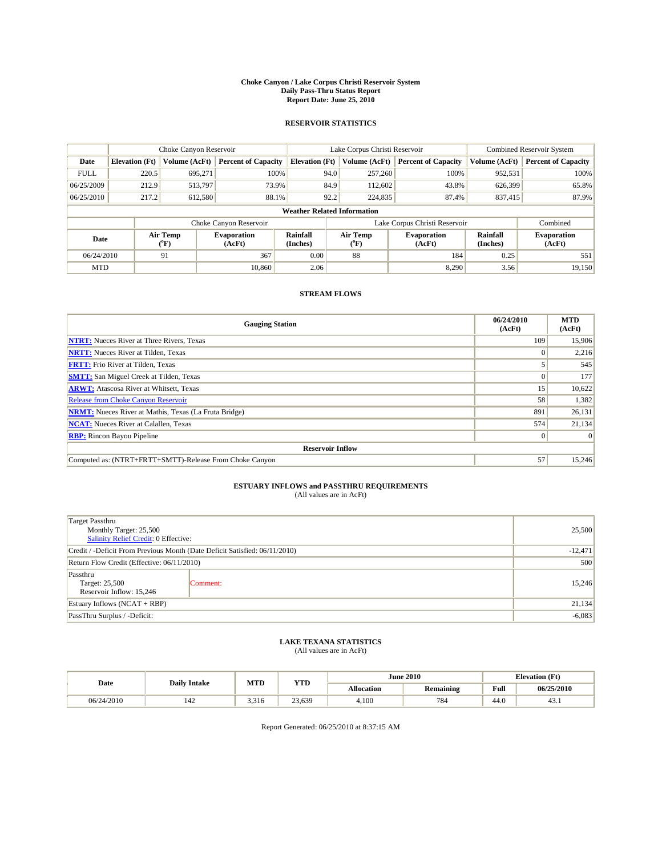#### **Choke Canyon / Lake Corpus Christi Reservoir System Daily Pass-Thru Status Report Report Date: June 25, 2010**

#### **RESERVOIR STATISTICS**

|             | Choke Canyon Reservoir             |                  |                              |                       | Lake Corpus Christi Reservoir | <b>Combined Reservoir System</b> |                      |                              |  |  |
|-------------|------------------------------------|------------------|------------------------------|-----------------------|-------------------------------|----------------------------------|----------------------|------------------------------|--|--|
| Date        | <b>Elevation</b> (Ft)              | Volume (AcFt)    | <b>Percent of Capacity</b>   | <b>Elevation (Ft)</b> | Volume (AcFt)                 | <b>Percent of Capacity</b>       | Volume (AcFt)        | <b>Percent of Capacity</b>   |  |  |
| <b>FULL</b> | 220.5                              | 695.271          | 100%                         | 94.0                  | 257,260                       | 100%                             | 952,531              | 100%                         |  |  |
| 06/25/2009  | 212.9                              | 513,797          | 73.9%                        | 84.9                  | 112,602                       | 43.8%                            | 626,399              | 65.8%                        |  |  |
| 06/25/2010  | 217.2                              | 612,580          | 88.1%                        | 92.2                  | 224,835                       | 87.4%                            | 837,415              | 87.9%                        |  |  |
|             | <b>Weather Related Information</b> |                  |                              |                       |                               |                                  |                      |                              |  |  |
|             |                                    |                  | Choke Canyon Reservoir       |                       |                               | Lake Corpus Christi Reservoir    |                      | Combined                     |  |  |
| Date        |                                    | Air Temp<br>(°F) | <b>Evaporation</b><br>(AcFt) | Rainfall<br>(Inches)  | Air Temp<br>(°F)              | <b>Evaporation</b><br>(AcFt)     | Rainfall<br>(Inches) | <b>Evaporation</b><br>(AcFt) |  |  |
| 06/24/2010  |                                    | 91               | 367                          | 0.00                  | 88                            | 184                              | 0.25                 | 551                          |  |  |
| <b>MTD</b>  |                                    |                  | 10.860                       | 2.06                  |                               | 8.290                            | 3.56                 | 19,150                       |  |  |

## **STREAM FLOWS**

| <b>Gauging Station</b>                                       | 06/24/2010<br>(AcFt) | <b>MTD</b><br>(AcFt) |
|--------------------------------------------------------------|----------------------|----------------------|
| <b>NTRT:</b> Nueces River at Three Rivers, Texas             | 109                  | 15,906               |
| <b>NRTT:</b> Nueces River at Tilden, Texas                   |                      | 2,216                |
| <b>FRTT:</b> Frio River at Tilden, Texas                     |                      | 545                  |
| <b>SMTT:</b> San Miguel Creek at Tilden, Texas               |                      | 177                  |
| <b>ARWT:</b> Atascosa River at Whitsett, Texas               | 15                   | 10,622               |
| <b>Release from Choke Canyon Reservoir</b>                   | 58                   | 1,382                |
| <b>NRMT:</b> Nueces River at Mathis, Texas (La Fruta Bridge) | 891                  | 26,131               |
| <b>NCAT:</b> Nueces River at Calallen, Texas                 | 574                  | 21,134               |
| <b>RBP:</b> Rincon Bayou Pipeline                            | $\Omega$             | $\Omega$             |
| <b>Reservoir Inflow</b>                                      |                      |                      |
| Computed as: (NTRT+FRTT+SMTT)-Release From Choke Canyon      | 57                   | 15,246               |

# **ESTUARY INFLOWS and PASSTHRU REQUIREMENTS**<br>(All values are in AcFt)

| Target Passthru                                                            |           |        |
|----------------------------------------------------------------------------|-----------|--------|
| Monthly Target: 25,500<br>Salinity Relief Credit: 0 Effective:             | 25,500    |        |
| Credit / -Deficit From Previous Month (Date Deficit Satisfied: 06/11/2010) | $-12,471$ |        |
| Return Flow Credit (Effective: 06/11/2010)                                 | 500       |        |
| Passthru<br>Target: 25,500<br>Reservoir Inflow: 15,246                     | Comment:  | 15.246 |
| Estuary Inflows (NCAT + RBP)                                               |           | 21,134 |
| PassThru Surplus / -Deficit:                                               | $-6,083$  |        |

## **LAKE TEXANA STATISTICS** (All values are in AcFt)

|            |                     | MTD<br><b>YTD</b> |        |                   | <b>June 2010</b> | <b>Elevation</b> (Ft) |            |
|------------|---------------------|-------------------|--------|-------------------|------------------|-----------------------|------------|
| Date       | <b>Daily Intake</b> |                   |        | <b>Allocation</b> | Remaining        | Full                  | 06/25/2010 |
| 06/24/2010 | 142                 | 3.316             | 23.639 | 4.100             | 784              | 44.0                  | 45.1       |

Report Generated: 06/25/2010 at 8:37:15 AM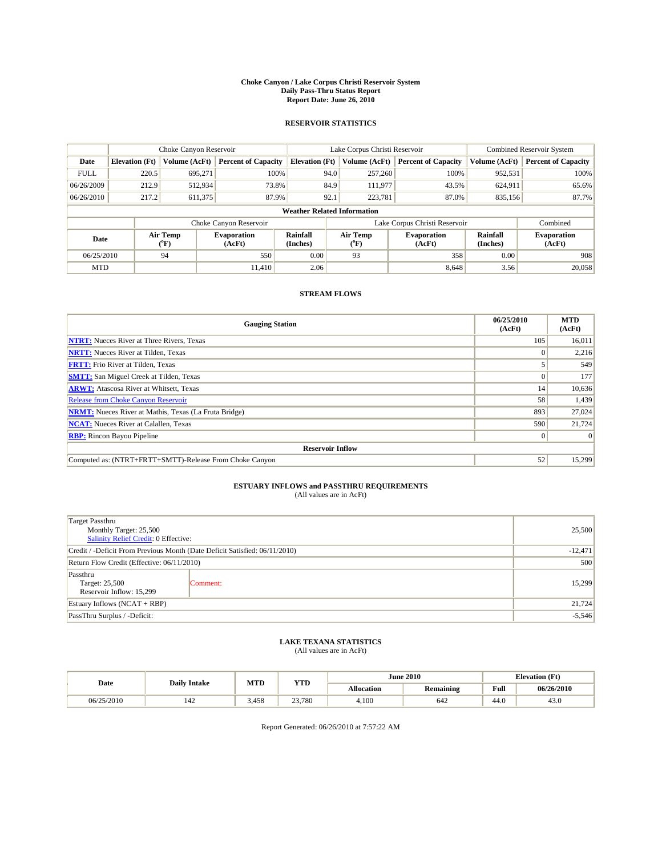#### **Choke Canyon / Lake Corpus Christi Reservoir System Daily Pass-Thru Status Report Report Date: June 26, 2010**

#### **RESERVOIR STATISTICS**

|             |                                    | Choke Canyon Reservoir |                              |                       | Lake Corpus Christi Reservoir |                               |                      | Combined Reservoir System    |  |  |
|-------------|------------------------------------|------------------------|------------------------------|-----------------------|-------------------------------|-------------------------------|----------------------|------------------------------|--|--|
| Date        | <b>Elevation</b> (Ft)              | Volume (AcFt)          | <b>Percent of Capacity</b>   | <b>Elevation (Ft)</b> | Volume (AcFt)                 | <b>Percent of Capacity</b>    | Volume (AcFt)        | <b>Percent of Capacity</b>   |  |  |
| <b>FULL</b> | 220.5                              | 695,271                | 100%                         | 94.0                  | 257,260                       | 100%                          | 952,531              | 100%                         |  |  |
| 06/26/2009  | 212.9                              | 512,934                | 73.8%                        | 84.9                  | 111,977                       | 43.5%                         | 624,911              | 65.6%                        |  |  |
| 06/26/2010  | 217.2                              | 611,375                | 87.9%                        | 92.1                  | 223,781                       | 87.0%                         | 835,156              | 87.7%                        |  |  |
|             | <b>Weather Related Information</b> |                        |                              |                       |                               |                               |                      |                              |  |  |
|             |                                    |                        | Choke Canyon Reservoir       |                       |                               | Lake Corpus Christi Reservoir |                      | Combined                     |  |  |
| Date        |                                    | Air Temp<br>(°F)       | <b>Evaporation</b><br>(AcFt) | Rainfall<br>(Inches)  | Air Temp<br>("F)              | <b>Evaporation</b><br>(AcFt)  | Rainfall<br>(Inches) | <b>Evaporation</b><br>(AcFt) |  |  |
| 06/25/2010  |                                    | 94                     | 550                          | 0.00                  | 93                            | 358                           | 0.00                 | 908                          |  |  |
| <b>MTD</b>  |                                    |                        | 11.410                       | 2.06                  |                               | 8,648                         | 3.56                 | 20,058                       |  |  |

## **STREAM FLOWS**

| <b>Gauging Station</b>                                       | 06/25/2010<br>(AcFt) | <b>MTD</b><br>(AcFt) |
|--------------------------------------------------------------|----------------------|----------------------|
| <b>NTRT:</b> Nueces River at Three Rivers, Texas             | 105                  | 16,011               |
| <b>NRTT:</b> Nueces River at Tilden, Texas                   |                      | 2,216                |
| <b>FRTT:</b> Frio River at Tilden, Texas                     |                      | 549                  |
| <b>SMTT:</b> San Miguel Creek at Tilden, Texas               |                      | 177                  |
| <b>ARWT:</b> Atascosa River at Whitsett, Texas               | 14                   | 10,636               |
| <b>Release from Choke Canyon Reservoir</b>                   | 58                   | 1,439                |
| <b>NRMT:</b> Nueces River at Mathis, Texas (La Fruta Bridge) | 893                  | 27,024               |
| <b>NCAT:</b> Nueces River at Calallen, Texas                 | 590                  | 21,724               |
| <b>RBP:</b> Rincon Bayou Pipeline                            | $\Omega$             | $\Omega$             |
| <b>Reservoir Inflow</b>                                      |                      |                      |
| Computed as: (NTRT+FRTT+SMTT)-Release From Choke Canyon      | 52                   | 15,299               |

# **ESTUARY INFLOWS and PASSTHRU REQUIREMENTS**<br>(All values are in AcFt)

| Target Passthru                                                            |          | 25,500 |  |  |
|----------------------------------------------------------------------------|----------|--------|--|--|
| Monthly Target: 25,500<br>Salinity Relief Credit: 0 Effective:             |          |        |  |  |
| Credit / -Deficit From Previous Month (Date Deficit Satisfied: 06/11/2010) |          |        |  |  |
| Return Flow Credit (Effective: 06/11/2010)                                 |          |        |  |  |
| Passthru                                                                   |          | 500    |  |  |
| Target: 25,500                                                             | Comment: | 15,299 |  |  |
| Reservoir Inflow: 15,299                                                   |          |        |  |  |
| Estuary Inflows (NCAT + RBP)                                               |          | 21,724 |  |  |
| PassThru Surplus / -Deficit:                                               |          |        |  |  |

## **LAKE TEXANA STATISTICS** (All values are in AcFt)

|            | <b>Daily Intake</b> | MTD   | <b>YTD</b> | <b>June 2010</b>  |                  | <b>Elevation</b> (Ft)                   |            |
|------------|---------------------|-------|------------|-------------------|------------------|-----------------------------------------|------------|
| Date       |                     |       |            | <b>Allocation</b> | <b>Remaining</b> | Full<br>the contract of the contract of | 06/26/2010 |
| 06/25/2010 | 142                 | 3.458 | 23,780     | 4.100             | 642              | 44.0                                    | 43.0       |

Report Generated: 06/26/2010 at 7:57:22 AM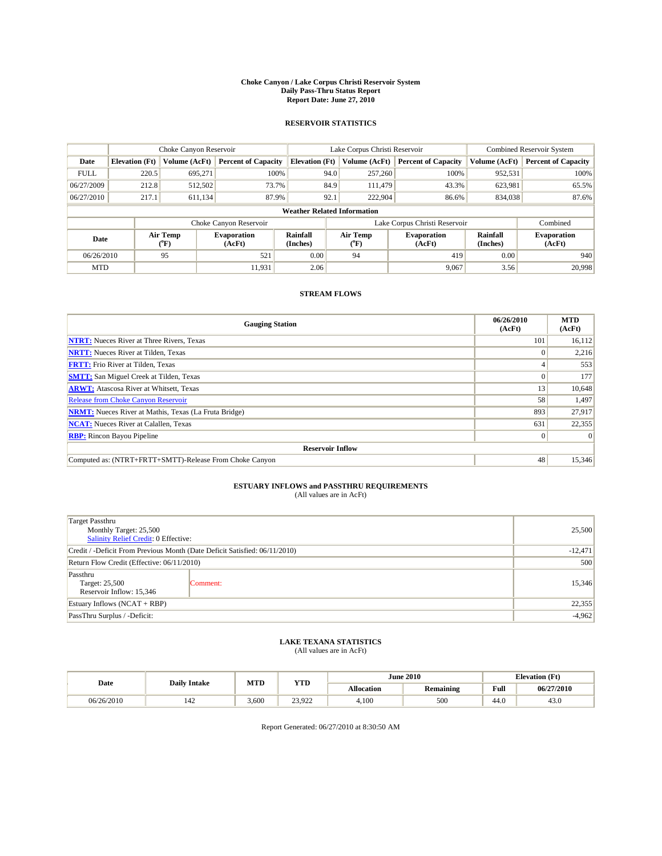#### **Choke Canyon / Lake Corpus Christi Reservoir System Daily Pass-Thru Status Report Report Date: June 27, 2010**

#### **RESERVOIR STATISTICS**

|             |                                    | Choke Canyon Reservoir |                              |                       | Lake Corpus Christi Reservoir | Combined Reservoir System     |                      |                              |  |  |
|-------------|------------------------------------|------------------------|------------------------------|-----------------------|-------------------------------|-------------------------------|----------------------|------------------------------|--|--|
| Date        | <b>Elevation</b> (Ft)              | Volume (AcFt)          | <b>Percent of Capacity</b>   | <b>Elevation (Ft)</b> | Volume (AcFt)                 | <b>Percent of Capacity</b>    | Volume (AcFt)        | <b>Percent of Capacity</b>   |  |  |
| <b>FULL</b> | 220.5                              | 695,271                | 100%                         | 94.0                  | 257,260                       | 100%                          | 952,531              | 100%                         |  |  |
| 06/27/2009  | 212.8                              | 512,502                | 73.7%                        | 84.9                  | 111.479                       | 43.3%                         | 623,981              | 65.5%                        |  |  |
| 06/27/2010  | 217.1                              | 611,134                | 87.9%                        | 92.1                  | 222,904                       | 86.6%                         | 834,038              | 87.6%                        |  |  |
|             | <b>Weather Related Information</b> |                        |                              |                       |                               |                               |                      |                              |  |  |
|             |                                    |                        | Choke Canyon Reservoir       |                       |                               | Lake Corpus Christi Reservoir |                      | Combined                     |  |  |
| Date        |                                    | Air Temp<br>(°F)       | <b>Evaporation</b><br>(AcFt) | Rainfall<br>(Inches)  | Air Temp<br>("F)              | <b>Evaporation</b><br>(AcFt)  | Rainfall<br>(Inches) | <b>Evaporation</b><br>(AcFt) |  |  |
| 06/26/2010  |                                    | 95                     | 521                          | 0.00                  | 94                            | 419                           | 0.00                 | 940                          |  |  |
| <b>MTD</b>  |                                    |                        | 11.931                       | 2.06                  |                               | 9,067                         | 3.56                 | 20,998                       |  |  |

## **STREAM FLOWS**

| <b>Gauging Station</b>                                       | 06/26/2010<br>(AcFt) | <b>MTD</b><br>(AcFt) |  |  |  |  |
|--------------------------------------------------------------|----------------------|----------------------|--|--|--|--|
| <b>NTRT:</b> Nueces River at Three Rivers, Texas             | 101                  | 16,112               |  |  |  |  |
| <b>NRTT:</b> Nueces River at Tilden, Texas                   |                      | 2,216                |  |  |  |  |
| <b>FRTT:</b> Frio River at Tilden, Texas                     |                      | 553                  |  |  |  |  |
| <b>SMTT:</b> San Miguel Creek at Tilden, Texas               |                      | 177                  |  |  |  |  |
| <b>ARWT:</b> Atascosa River at Whitsett, Texas               | 13                   | 10,648               |  |  |  |  |
| <b>Release from Choke Canyon Reservoir</b>                   | 58                   | 1,497                |  |  |  |  |
| <b>NRMT:</b> Nueces River at Mathis, Texas (La Fruta Bridge) | 893                  | 27,917               |  |  |  |  |
| <b>NCAT:</b> Nueces River at Calallen, Texas                 | 631                  | 22,355               |  |  |  |  |
| <b>RBP:</b> Rincon Bayou Pipeline                            | $\Omega$             | $\Omega$             |  |  |  |  |
| <b>Reservoir Inflow</b>                                      |                      |                      |  |  |  |  |
| Computed as: (NTRT+FRTT+SMTT)-Release From Choke Canyon      | 48                   | 15,346               |  |  |  |  |

# **ESTUARY INFLOWS and PASSTHRU REQUIREMENTS**<br>(All values are in AcFt)

| Target Passthru                                                            |           |        |
|----------------------------------------------------------------------------|-----------|--------|
| Monthly Target: 25,500<br>Salinity Relief Credit: 0 Effective:             | 25,500    |        |
| Credit / -Deficit From Previous Month (Date Deficit Satisfied: 06/11/2010) | $-12,471$ |        |
| Return Flow Credit (Effective: 06/11/2010)                                 | 500       |        |
| Passthru<br>Target: 25,500<br>Reservoir Inflow: 15,346                     | Comment:  | 15,346 |
| Estuary Inflows (NCAT + RBP)                                               |           | 22,355 |
| PassThru Surplus / -Deficit:                                               | $-4,962$  |        |

## **LAKE TEXANA STATISTICS** (All values are in AcFt)

|            | <b>Daily Intake</b> | MTD   | <b>YTD</b>               | <b>June 2010</b>  |                  | <b>Elevation</b> (Ft)                   |            |
|------------|---------------------|-------|--------------------------|-------------------|------------------|-----------------------------------------|------------|
| Date       |                     |       |                          | <b>Allocation</b> | <b>Remaining</b> | Full<br>the contract of the contract of | 06/27/2010 |
| 06/26/2010 | 142                 | 3.600 | 23.022<br><i>L</i> J.JLL | 4.100             | 500              | 44.0                                    | 43.0       |

Report Generated: 06/27/2010 at 8:30:50 AM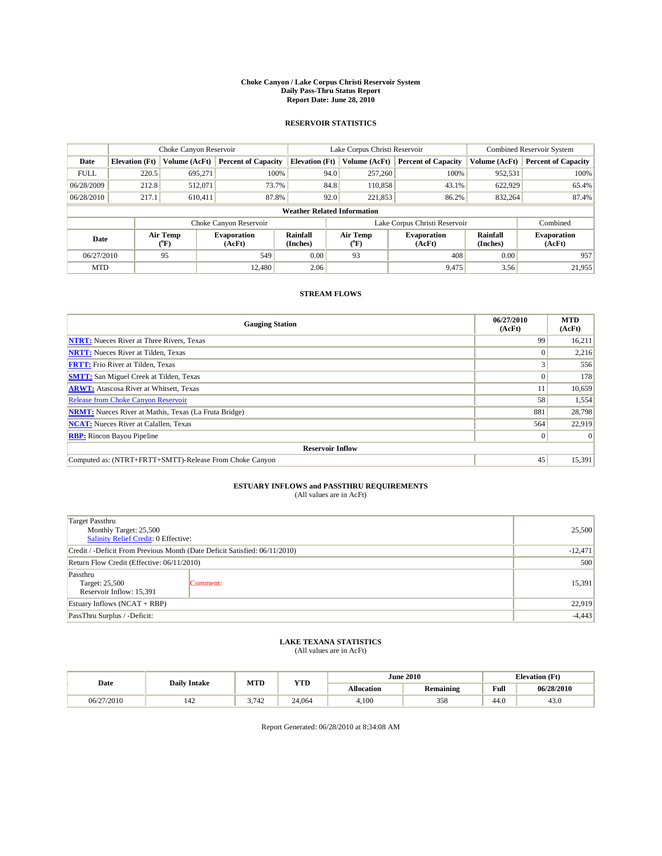#### **Choke Canyon / Lake Corpus Christi Reservoir System Daily Pass-Thru Status Report Report Date: June 28, 2010**

#### **RESERVOIR STATISTICS**

|             | Choke Canyon Reservoir             |                  |                              |                       | Lake Corpus Christi Reservoir |               |                               |                      | <b>Combined Reservoir System</b> |  |  |
|-------------|------------------------------------|------------------|------------------------------|-----------------------|-------------------------------|---------------|-------------------------------|----------------------|----------------------------------|--|--|
| Date        | <b>Elevation</b> (Ft)              | Volume (AcFt)    | <b>Percent of Capacity</b>   | <b>Elevation (Ft)</b> |                               | Volume (AcFt) | <b>Percent of Capacity</b>    | Volume (AcFt)        | <b>Percent of Capacity</b>       |  |  |
| <b>FULL</b> | 220.5                              | 695.271          | 100%                         |                       | 94.0                          | 257,260       | 100%                          | 952,531              | 100%                             |  |  |
| 06/28/2009  | 212.8                              | 512,071          | 73.7%                        |                       | 84.8                          | 110,858       | 43.1%                         | 622,929              | 65.4%                            |  |  |
| 06/28/2010  | 217.1                              | 610,411          | 87.8%                        |                       | 92.0                          | 221,853       | 86.2%                         | 832,264              | 87.4%                            |  |  |
|             | <b>Weather Related Information</b> |                  |                              |                       |                               |               |                               |                      |                                  |  |  |
|             |                                    |                  | Choke Canyon Reservoir       |                       |                               |               | Lake Corpus Christi Reservoir |                      | Combined                         |  |  |
| Date        |                                    | Air Temp<br>(°F) | <b>Evaporation</b><br>(AcFt) | Rainfall<br>(Inches)  | Air Temp<br>(°F)              |               | <b>Evaporation</b><br>(AcFt)  | Rainfall<br>(Inches) | <b>Evaporation</b><br>(AcFt)     |  |  |
| 06/27/2010  |                                    | 95               | 549                          | 0.00                  | 93                            |               | 408                           | 0.00                 | 957                              |  |  |
| <b>MTD</b>  |                                    |                  | 12.480                       | 2.06                  |                               |               | 9.475                         | 3.56                 | 21,955                           |  |  |

## **STREAM FLOWS**

| <b>Gauging Station</b>                                       | 06/27/2010<br>(AcFt) | <b>MTD</b><br>(AcFt) |
|--------------------------------------------------------------|----------------------|----------------------|
| <b>NTRT:</b> Nueces River at Three Rivers, Texas             | 99                   | 16,211               |
| <b>NRTT:</b> Nueces River at Tilden, Texas                   |                      | 2,216                |
| <b>FRTT:</b> Frio River at Tilden, Texas                     | o                    | 556                  |
| <b>SMTT:</b> San Miguel Creek at Tilden, Texas               |                      | 178                  |
| <b>ARWT:</b> Atascosa River at Whitsett, Texas               |                      | 10,659               |
| <b>Release from Choke Canyon Reservoir</b>                   | 58                   | 1,554                |
| <b>NRMT:</b> Nueces River at Mathis, Texas (La Fruta Bridge) | 881                  | 28,798               |
| <b>NCAT:</b> Nueces River at Calallen, Texas                 | 564                  | 22,919               |
| <b>RBP:</b> Rincon Bayou Pipeline                            | $\Omega$             | $\Omega$             |
| <b>Reservoir Inflow</b>                                      |                      |                      |
| Computed as: (NTRT+FRTT+SMTT)-Release From Choke Canyon      | 45                   | 15,391               |

# **ESTUARY INFLOWS and PASSTHRU REQUIREMENTS**<br>(All values are in AcFt)

| Target Passthru<br>Monthly Target: 25,500<br>Salinity Relief Credit: 0 Effective: | 25,500    |        |
|-----------------------------------------------------------------------------------|-----------|--------|
| Credit / -Deficit From Previous Month (Date Deficit Satisfied: 06/11/2010)        | $-12,471$ |        |
| Return Flow Credit (Effective: 06/11/2010)                                        | 500       |        |
| Passthru<br>Target: 25,500<br>Reservoir Inflow: 15,391                            | Comment:  | 15,391 |
| Estuary Inflows (NCAT + RBP)                                                      |           | 22,919 |
| PassThru Surplus / -Deficit:                                                      | $-4,443$  |        |

## **LAKE TEXANA STATISTICS** (All values are in AcFt)

| Date       | <b>Daily Intake</b> | MTD  | <b>YTD</b> | <b>June 2010</b>  |                  | <b>Elevation</b> (Ft)                   |            |
|------------|---------------------|------|------------|-------------------|------------------|-----------------------------------------|------------|
|            |                     |      |            | <b>Allocation</b> | <b>Remaining</b> | Full<br>the contract of the contract of | 06/28/2010 |
| 06/27/2010 | 142                 | .742 | 24,064     | 4.100             | 358              | 44.0                                    | 43.0       |

Report Generated: 06/28/2010 at 8:34:08 AM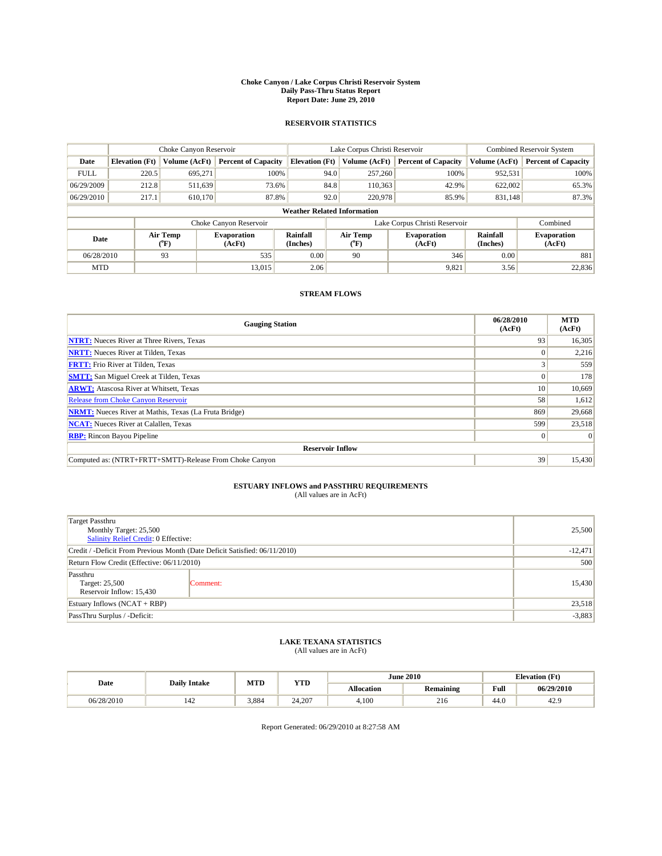#### **Choke Canyon / Lake Corpus Christi Reservoir System Daily Pass-Thru Status Report Report Date: June 29, 2010**

#### **RESERVOIR STATISTICS**

|             | Choke Canyon Reservoir             |                  |                              |                       | Lake Corpus Christi Reservoir |               |                               |                      | Combined Reservoir System    |  |  |
|-------------|------------------------------------|------------------|------------------------------|-----------------------|-------------------------------|---------------|-------------------------------|----------------------|------------------------------|--|--|
| Date        | <b>Elevation</b> (Ft)              | Volume (AcFt)    | <b>Percent of Capacity</b>   | <b>Elevation (Ft)</b> |                               | Volume (AcFt) | <b>Percent of Capacity</b>    | Volume (AcFt)        | <b>Percent of Capacity</b>   |  |  |
| <b>FULL</b> | 220.5                              | 695,271          | 100%                         |                       | 94.0                          | 257,260       | 100%                          | 952.531              | 100%                         |  |  |
| 06/29/2009  | 212.8                              | 511,639          | 73.6%                        |                       | 84.8                          | 110,363       | 42.9%                         | 622,002              | 65.3%                        |  |  |
| 06/29/2010  | 217.1                              | 610.170          | 87.8%                        |                       | 92.0                          | 220,978       | 85.9%                         | 831,148              | 87.3%                        |  |  |
|             | <b>Weather Related Information</b> |                  |                              |                       |                               |               |                               |                      |                              |  |  |
|             |                                    |                  | Choke Canyon Reservoir       |                       |                               |               | Lake Corpus Christi Reservoir |                      | Combined                     |  |  |
| Date        |                                    | Air Temp<br>(°F) | <b>Evaporation</b><br>(AcFt) | Rainfall<br>(Inches)  | Air Temp<br>("F)              |               | <b>Evaporation</b><br>(AcFt)  | Rainfall<br>(Inches) | <b>Evaporation</b><br>(AcFt) |  |  |
| 06/28/2010  |                                    | 93               | 535                          | 0.00                  | 90                            |               | 346                           | 0.00                 | 881                          |  |  |
| <b>MTD</b>  |                                    |                  | 13.015                       | 2.06                  |                               |               | 9,821                         | 3.56                 | 22,836                       |  |  |

## **STREAM FLOWS**

| <b>Gauging Station</b>                                       | 06/28/2010<br>(AcFt) | <b>MTD</b><br>(AcFt) |
|--------------------------------------------------------------|----------------------|----------------------|
| <b>NTRT:</b> Nueces River at Three Rivers, Texas             | 93                   | 16,305               |
| <b>NRTT:</b> Nueces River at Tilden, Texas                   |                      | 2,216                |
| <b>FRTT:</b> Frio River at Tilden, Texas                     | o                    | 559                  |
| <b>SMTT:</b> San Miguel Creek at Tilden, Texas               |                      | 178                  |
| <b>ARWT:</b> Atascosa River at Whitsett, Texas               | 10                   | 10,669               |
| <b>Release from Choke Canyon Reservoir</b>                   | 58                   | 1,612                |
| <b>NRMT:</b> Nueces River at Mathis, Texas (La Fruta Bridge) | 869                  | 29,668               |
| <b>NCAT:</b> Nueces River at Calallen, Texas                 | 599                  | 23,518               |
| <b>RBP:</b> Rincon Bayou Pipeline                            | $\Omega$             | $\Omega$             |
| <b>Reservoir Inflow</b>                                      |                      |                      |
| Computed as: (NTRT+FRTT+SMTT)-Release From Choke Canyon      | 39                   | 15,430               |

# **ESTUARY INFLOWS and PASSTHRU REQUIREMENTS**<br>(All values are in AcFt)

| Target Passthru                                                            |           |          |
|----------------------------------------------------------------------------|-----------|----------|
| Monthly Target: 25,500<br>Salinity Relief Credit: 0 Effective:             | 25,500    |          |
| Credit / -Deficit From Previous Month (Date Deficit Satisfied: 06/11/2010) | $-12,471$ |          |
| Return Flow Credit (Effective: 06/11/2010)                                 | 500       |          |
| Passthru<br>Target: 25,500<br>Reservoir Inflow: 15,430                     | Comment:  | 15,430   |
| Estuary Inflows (NCAT + RBP)                                               |           | 23,518   |
| PassThru Surplus / -Deficit:                                               |           | $-3,883$ |

## **LAKE TEXANA STATISTICS** (All values are in AcFt)

| Date       | <b>Daily Intake</b> | MTD   | <b>YTD</b> |                   | <b>June 2010</b> | <b>Elevation</b> (Ft)                   |            |
|------------|---------------------|-------|------------|-------------------|------------------|-----------------------------------------|------------|
|            |                     |       |            | <b>Allocation</b> | <b>Remaining</b> | Full<br>the contract of the contract of | 06/29/2010 |
| 06/28/2010 | 142                 | 3.884 | 24.207     | 4.100             | 216              | 44.0                                    | 42.9       |

Report Generated: 06/29/2010 at 8:27:58 AM